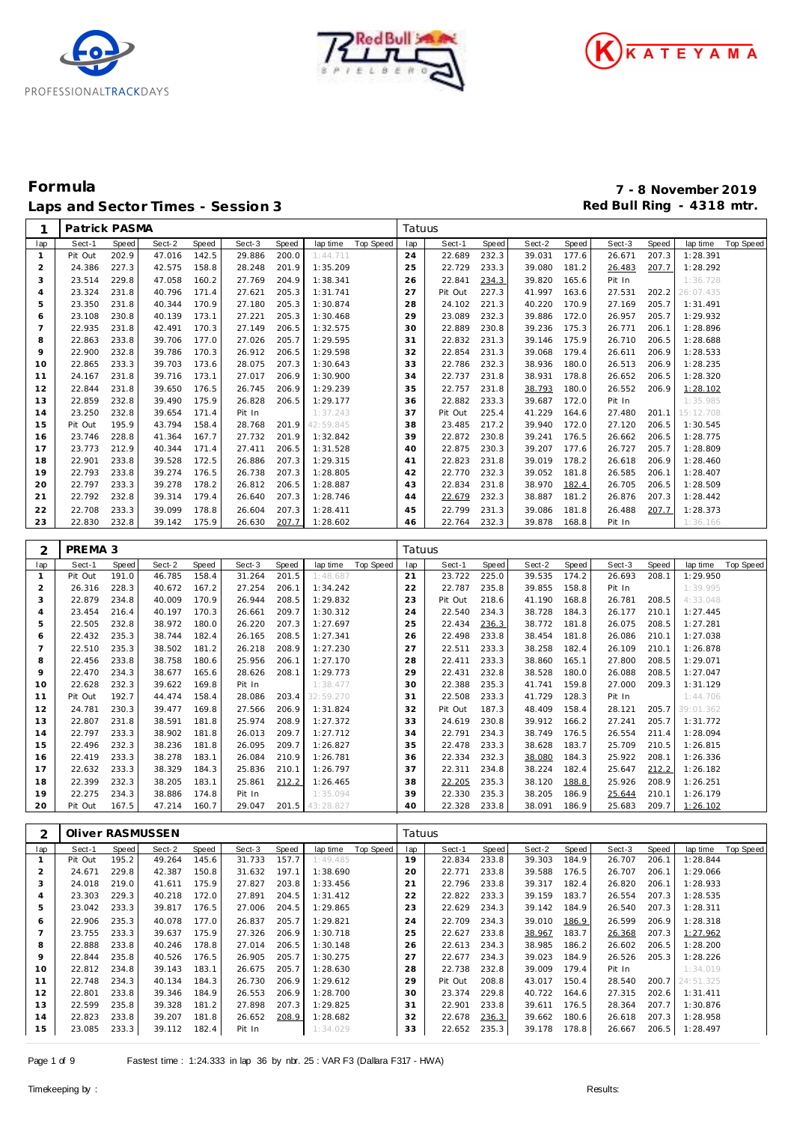





# **Formula 7 - 8 November 2019** Laps and Sector Times - Session 3 **Red Bull Ring - 4318 mtr.** And Sector Times - Session 3

1 Patrick PASMA **Tatuus** 

| lap                     | Sect-1           | Speed          | Sect-2           | Speed          | Sect-3           | <b>Speed</b>   | lap time             | Top Speed | lap      | Sect-1                 | <b>Speed</b> | Sect-2                       | Speed | Sect-3           | Speed | lap time                   | Top Speed |
|-------------------------|------------------|----------------|------------------|----------------|------------------|----------------|----------------------|-----------|----------|------------------------|--------------|------------------------------|-------|------------------|-------|----------------------------|-----------|
| $\mathbf{1}$            | Pit Out          | 202.9          | 47.016           | 142.5          | 29.886           | 200.0          | 1:44.711             |           | 24       | 22.689                 | 232.3        | 39.031                       | 177.6 | 26.671           | 207.3 | 1:28.391                   |           |
| $\overline{2}$          | 24.386           | 227.3          | 42.575           | 158.8          | 28.248           | 201.9          | 1:35.209             |           | 25       | 22.729                 | 233.3        | 39.080                       | 181.2 | 26.483           | 207.7 | 1:28.292                   |           |
| 3                       | 23.514           | 229.8          | 47.058           | 160.2          | 27.769           | 204.9          | 1:38.341             |           | 26       | 22.841                 | 234.3        | 39.820                       | 165.6 | Pit In           |       | 1:36.728                   |           |
| $\overline{4}$          | 23.324           | 231.8          | 40.796           | 171.4          | 27.621           | 205.3          | 1:31.741             |           | 27       | Pit Out                | 227.3        | 41.997                       | 163.6 | 27.531           | 202.2 | 26:07.435                  |           |
| 5                       | 23.350           | 231.8          | 40.344           | 170.9          | 27.180           | 205.3          | 1:30.874             |           | 28       | 24.102                 | 221.3        | 40.220                       | 170.9 | 27.169           | 205.7 | 1:31.491                   |           |
| 6                       | 23.108           | 230.8          | 40.139           | 173.1          | 27.221           | 205.3          | 1:30.468             |           | 29       | 23.089                 | 232.3        | 39.886                       | 172.0 | 26.957           | 205.7 | 1:29.932                   |           |
| $\overline{7}$          | 22.935           | 231.8          | 42.491           | 170.3          | 27.149           | 206.5          | 1:32.575             |           | 30       | 22.889                 | 230.8        | 39.236                       | 175.3 | 26.771           | 206.1 | 1:28.896                   |           |
|                         |                  |                |                  |                |                  |                |                      |           |          |                        |              |                              |       |                  |       |                            |           |
| 8                       | 22.863           | 233.8          | 39.706           | 177.0          | 27.026           | 205.7          | 1:29.595             |           | 31       | 22.832                 | 231.3        | 39.146                       | 175.9 | 26.710           | 206.5 | 1:28.688                   |           |
| 9                       | 22.900           | 232.8          | 39.786           | 170.3          | 26.912           | 206.5          | 1:29.598             |           | 32       | 22.854                 | 231.3        | 39.068                       | 179.4 | 26.611           | 206.9 | 1:28.533                   |           |
| 10                      | 22.865           | 233.3          | 39.703           | 173.6          | 28.075           | 207.3          | 1:30.643             |           | 33       | 22.786                 | 232.3        | 38.936                       | 180.0 | 26.513           | 206.9 | 1:28.235                   |           |
| 11                      | 24.167           | 231.8          | 39.716           | 173.1          | 27.017           | 206.9          | 1:30.900             |           | 34       | 22.737                 | 231.8        | 38.931                       | 178.8 | 26.652           | 206.5 | 1:28.320                   |           |
| 12                      | 22.844           | 231.8          | 39.650           | 176.5          | 26.745           | 206.9          | 1:29.239             |           | 35       | 22.757                 | 231.8        | 38.793                       | 180.0 | 26.552           | 206.9 | 1:28.102                   |           |
| 13                      | 22.859           | 232.8          | 39.490           | 175.9          | 26.828           | 206.5          | 1:29.177             |           | 36       | 22.882                 | 233.3        | 39.687                       | 172.0 | Pit In           |       | 1:35.985                   |           |
| 14                      | 23.250           | 232.8          | 39.654           | 171.4          | Pit In           |                | 1:37.243             |           | 37       | Pit Out                | 225.4        | 41.229                       | 164.6 | 27.480           | 201.1 | 15:12.708                  |           |
| 15                      | Pit Out          | 195.9          | 43.794           | 158.4          | 28.768           | 201.9          | 42:59.845            |           | 38       | 23.485                 | 217.2        | 39.940                       | 172.0 | 27.120           | 206.5 | 1:30.545                   |           |
| 16                      | 23.746           | 228.8          | 41.364           | 167.7          | 27.732           | 201.9          | 1:32.842             |           | 39       | 22.872                 | 230.8        | 39.241                       | 176.5 | 26.662           | 206.5 | 1:28.775                   |           |
| 17                      | 23.773           | 212.9          | 40.344           | 171.4          | 27.411           | 206.5          | 1:31.528             |           | 40       | 22.875                 | 230.3        | 39.207                       | 177.6 | 26.727           | 205.7 | 1:28.809                   |           |
| 18                      | 22.901           | 233.8          | 39.528           | 172.5          | 26.886           | 207.3          | 1:29.315             |           | 41       | 22.823                 | 231.8        | 39.019                       | 178.2 | 26.618           | 206.9 | 1:28.460                   |           |
| 19                      | 22.793           | 233.8          | 39.274           | 176.5          | 26.738           | 207.3          | 1:28.805             |           | 42       | 22.770                 | 232.3        | 39.052                       | 181.8 | 26.585           | 206.1 | 1:28.407                   |           |
|                         |                  |                |                  |                |                  |                |                      |           |          |                        |              |                              |       |                  |       |                            |           |
| 20                      | 22.797           | 233.3          | 39.278           | 178.2          | 26.812           | 206.5          | 1:28.887             |           | 43       | 22.834                 | 231.8        | 38.970                       | 182.4 | 26.705           | 206.5 | 1:28.509                   |           |
| 21                      | 22.792           | 232.8          | 39.314           | 179.4          | 26.640           | 207.3          | 1:28.746             |           | 44       | 22.679                 | 232.3        | 38.887                       | 181.2 | 26.876           | 207.3 | 1:28.442                   |           |
| 22                      | 22.708           | 233.3          | 39.099           | 178.8          | 26.604           | 207.3          | 1:28.411             |           | 45       | 22.799                 | 231.3        | 39.086                       | 181.8 | 26.488           | 207.7 | 1:28.373                   |           |
| 23                      | 22.830           | 232.8          | 39.142           | 175.9          | 26.630           | 207.7          | 1:28.602             |           | 46       | 22.764                 | 232.3        | 39.878                       | 168.8 | Pit In           |       | 1:36.166                   |           |
|                         |                  |                |                  |                |                  |                |                      |           |          |                        |              |                              |       |                  |       |                            |           |
| 2                       | PREMA 3          |                |                  |                |                  |                |                      |           | Tatuus   |                        |              |                              |       |                  |       |                            |           |
| lap                     | Sect-1           | Speed          | Sect-2           | Speed          | Sect-3           | Speed          | lap time             | Top Speed | lap      | Sect-1                 | Speed        | Sect-2                       | Speed | Sect-3           | Speed | lap time                   | Top Speed |
| $\mathbf{1}$            | Pit Out          | 191.0          | 46.785           | 158.4          | 31.264           | 201.5          | 1:48.687             |           | 21       | 23.722                 | 225.0        | 39.535                       | 174.2 | 26.693           | 208.1 | 1:29.950                   |           |
| $\overline{2}$          | 26.316           | 228.3          | 40.672           | 167.2          | 27.254           | 206.1          | 1:34.242             |           | 22       | 22.787                 | 235.8        | 39.855                       | 158.8 | Pit In           |       | 1:39.995                   |           |
| 3                       | 22.879           | 234.8          | 40.009           | 170.9          | 26.944           | 208.5          | 1:29.832             |           | 23       |                        | 218.6        | 41.190                       | 168.8 | 26.781           | 208.5 | 4:33.048                   |           |
|                         |                  |                |                  |                |                  |                |                      |           |          | Pit Out                |              |                              |       | 26.177           |       |                            |           |
| $\overline{4}$          | 23.454           | 216.4          | 40.197           | 170.3          | 26.661           | 209.7          | 1:30.312             |           | 24       | 22.540                 | 234.3        | 38.728                       | 184.3 |                  | 210.1 | 1:27.445                   |           |
| 5                       | 22.505           | 232.8          | 38.972           | 180.0          | 26.220           | 207.3          | 1:27.697             |           | 25       | 22.434                 | 236.3        | 38.772                       | 181.8 | 26.075           | 208.5 | 1:27.281                   |           |
| 6                       | 22.432           | 235.3          | 38.744           | 182.4          | 26.165           | 208.5          | 1:27.341             |           | 26       | 22.498                 | 233.8        | 38.454                       | 181.8 | 26.086           | 210.1 | 1:27.038                   |           |
| $\overline{7}$          | 22.510           | 235.3          | 38.502           | 181.2          | 26.218           | 208.9          | 1:27.230             |           | 27       | 22.511                 | 233.3        | 38.258                       | 182.4 | 26.109           | 210.1 | 1:26.878                   |           |
| 8                       | 22.456           | 233.8          | 38.758           | 180.6          | 25.956           | 206.1          | 1:27.170             |           | 28       | 22.411                 | 233.3        | 38.860                       | 165.1 | 27.800           | 208.5 | 1:29.071                   |           |
| 9                       | 22.470           | 234.3          | 38.677           | 165.6          | 28.626           | 208.1          | 1:29.773             |           | 29       | 22.431                 | 232.8        | 38.528                       | 180.0 | 26.088           | 208.5 | 1:27.047                   |           |
| 10                      | 22.628           | 232.3          | 39.622           | 169.8          | Pit In           |                | 1:38.477             |           | 30       | 22.388                 | 235.3        | 41.741                       | 159.8 | 27.000           | 209.3 | 1:31.129                   |           |
| 11                      | Pit Out          | 192.7          | 44.474           | 158.4          | 28.086           | 203.4          | 32:59.270            |           | 31       | 22.508                 | 233.3        | 41.729                       | 128.3 | Pit In           |       | 1:44.706                   |           |
| 12                      | 24.781           | 230.3          | 39.477           | 169.8          | 27.566           | 206.9          | 1:31.824             |           | 32       | Pit Out                | 187.3        | 48.409                       | 158.4 | 28.121           | 205.7 | 39:01.362                  |           |
| 13                      | 22.807           | 231.8          | 38.591           | 181.8          | 25.974           | 208.9          | 1:27.372             |           | 33       | 24.619                 | 230.8        | 39.912                       | 166.2 | 27.241           | 205.7 | 1:31.772                   |           |
| 14                      | 22.797           | 233.3          | 38.902           | 181.8          | 26.013           | 209.7          | 1:27.712             |           | 34       | 22.791                 | 234.3        | 38.749                       | 176.5 | 26.554           | 211.4 | 1:28.094                   |           |
| 15                      | 22.496           | 232.3          | 38.236           | 181.8          | 26.095           | 209.7          | 1:26.827             |           | 35       | 22.478                 | 233.3        | 38.628                       | 183.7 | 25.709           | 210.5 | 1:26.815                   |           |
| 16                      | 22.419           | 233.3          | 38.278           | 183.1          | 26.084           | 210.9          | 1:26.781             |           | 36       | 22.334                 | 232.3        | 38.080                       | 184.3 | 25.922           | 208.1 | 1:26.336                   |           |
| 17                      | 22.632           | 233.3          | 38.329           | 184.3          | 25.836           | 210.1          | 1:26.797             |           | 37       | 22.311                 | 234.8        | 38.224                       | 182.4 | 25.647           | 212.2 | 1:26.182                   |           |
|                         |                  |                |                  |                |                  |                |                      |           |          |                        |              |                              |       |                  |       |                            |           |
| 18                      | 22.399           | 232.3          | 38.205           | 183.1          | 25.861           | 212.2          | 1:26.465             |           | 38       | 22.205                 | 235.3        | 38.120                       | 188.8 | 25.926           | 208.9 | 1:26.251                   |           |
| 19                      | 22.275           | 234.3          | 38.886           | 174.8          | Pit In           |                | 1:35.094             |           | 39       | 22.330                 | 235.3        | 38.205                       | 186.9 | 25.644           | 210.1 | 1:26.179                   |           |
| 20                      | Pit Out          | 167.5          | 47.214           | 160.7          | 29.047           | 201.5          | 43:28.827            |           | 40       | 22.328                 | 233.8        | 38.091                       | 186.9 | 25.683           | 209.7 | 1:26.102                   |           |
|                         |                  |                |                  |                |                  |                |                      |           |          |                        |              |                              |       |                  |       |                            |           |
| $\overline{c}$          |                  |                | Oliver RASMUSSEN |                |                  |                |                      |           | Tatuus   |                        |              |                              |       |                  |       |                            |           |
| lap                     | Sect-1           | Speed          | Sect-2           | Speed          | Sect-3           | Speed          | lap time             | Top Speed | lap      | Sect-1                 | Speed        | Sect-2                       | Speed | Sect-3           | Speed | lap time                   | Top Speed |
| $\mathbf{1}$            |                  |                |                  | 145.6          |                  | 157.7          | 1:49.485             |           | 19       | 22.834                 | 233.8        | 39.303                       | 184.9 | 26.707           | 206.1 | 1:28.844                   |           |
| $\overline{\mathbf{c}}$ | Pit Out          | 195.2          | 49.264           |                | 31.733           |                |                      |           |          |                        |              |                              |       |                  |       |                            |           |
|                         | 24.671           | 229.8          | 42.387           | 150.8          | 31.632           | 197.1          | 1:38.690             |           | 20       | 22.771                 | 233.8        | 39.588                       | 176.5 | 26.707           | 206.1 | 1:29.066                   |           |
|                         |                  |                |                  |                |                  |                |                      |           |          |                        |              |                              |       |                  |       |                            |           |
| 3                       | 24.018           | 219.0          | 41.611           | 175.9          | 27.827           | 203.8          | 1:33.456             |           | 21       | 22.796                 | 233.8        | 39.317                       | 182.4 | 26.820           | 206.1 | 1:28.933                   |           |
| 4                       | 23.303           | 229.3          | 40.218           | 172.0          | 27.891           | 204.5          | 1:31.412             |           | 22       | 22.822                 | 233.3        | 39.159                       | 183.7 | 26.554           | 207.3 | 1:28.535                   |           |
| 5                       | 23.042           | 233.3          | 39.817           | 176.5          | 27.006           | 204.5          | 1:29.865             |           | 23       | 22.629                 | 234.3        | 39.142                       | 184.9 | 26.540           | 207.3 | 1:28.311                   |           |
| 6                       | 22.906           | 235.3          | 40.078           | 177.0          | 26.837           | 205.7          | 1:29.821             |           | 24       | 22.709                 | 234.3        | 39.010                       | 186.9 | 26.599           | 206.9 | 1:28.318                   |           |
| $\overline{7}$          | 23.755           | 233.3          | 39.637           | 175.9          | 27.326           | 206.9          | 1:30.718             |           | 25       | 22.627                 | 233.8        | 38.967                       | 183.7 | 26.368           | 207.3 | 1:27.962                   |           |
| 8                       | 22.888           | 233.8          | 40.246           | 178.8          | 27.014           | 206.5          | 1:30.148             |           | 26       | 22.613                 | 234.3        | 38.985                       | 186.2 | 26.602           | 206.5 | 1:28.200                   |           |
| 9                       | 22.844           | 235.8          | 40.526           | 176.5          | 26.905           | 205.7          | 1:30.275             |           | 27       | 22.677                 | 234.3        | 39.023                       | 184.9 | 26.526           | 205.3 | 1:28.226                   |           |
| 10                      | 22.812           | 234.8          | 39.143           | 183.1          | 26.675           | 205.7          | 1:28.630             |           | 28       | 22.738                 | 232.8        | 39.009                       | 179.4 | Pit In           |       | 1:34.019                   |           |
| 11                      | 22.748           | 234.3          | 40.134           | 184.3          | 26.730           | 206.9          | 1:29.612             |           | 29       | Pit Out                | 208.8        | 43.017 150.4                 |       | 28.540           | 200.7 | 24:51.325                  |           |
| 12                      | 22.801           | 233.8          | 39.346           | 184.9          | 26.553           | 206.9          | 1:28.700             |           | 30       | 23.374                 | 229.8        | 40.722                       | 164.6 | 27.315           | 202.6 | 1:31.411                   |           |
| 13<br>14                | 22.599<br>22.823 | 235.8<br>233.8 | 39.328<br>39.207 | 181.2<br>181.8 | 27.898<br>26.652 | 207.3<br>208.9 | 1:29.825<br>1:28.682 |           | 31<br>32 | 22.901<br>22.678 236.3 | 233.8        | 39.611 176.5<br>39.662 180.6 |       | 28.364<br>26.618 | 207.7 | 1:30.876<br>207.3 1:28.958 |           |

23.085 233.3 39.112 182.4 Pit In 1:34.029

22.652 235.3 39.178 178.8 26.667 206.5 1:28.497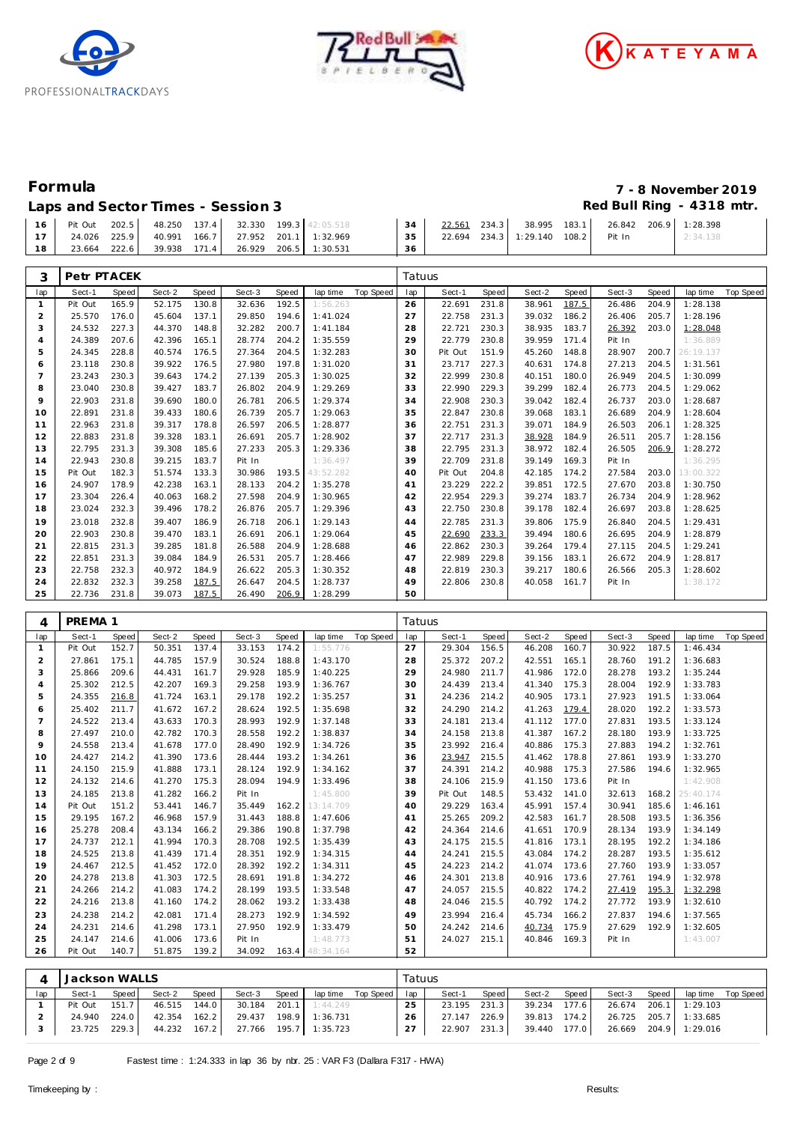





## Laps and Sector Times - Session 3 *Red Bull Ring - 4318 mtr.*

| Formula                           | 7 - 8 November 2019       |
|-----------------------------------|---------------------------|
| Lans and Sector Times - Session 3 | Red Bull Ring $-4318$ mtr |

|  |  |  |  | 16 Pit Out 202.5 48.250 137.4 32.330 199.3 42:05.518       |        |                                       |  |  | $34$ $22.561$ 234.3 38.995 183.1 26.842 206.9 1:28.398 |  |
|--|--|--|--|------------------------------------------------------------|--------|---------------------------------------|--|--|--------------------------------------------------------|--|
|  |  |  |  | 17   24.026 225.9   40.991 166.7   27.952 201.1   1:32.969 |        | 35 22.694 234.3 1:29.140 108.2 Pit In |  |  | 2:34.138                                               |  |
|  |  |  |  | 18   23.664 222.6   39.938 171.4   26.929 206.5   1:30.531 | - 36 F |                                       |  |  |                                                        |  |

| 3              | Petr PTACEK |              |        |       |        |       |           |           | Tatuus |         |       |        |       |        |       |           |           |
|----------------|-------------|--------------|--------|-------|--------|-------|-----------|-----------|--------|---------|-------|--------|-------|--------|-------|-----------|-----------|
| lap            | Sect-1      | <b>Speed</b> | Sect-2 | Speed | Sect-3 | Speed | lap time  | Top Speed | lap    | Sect-1  | Speed | Sect-2 | Speed | Sect-3 | Speed | lap time  | Top Speed |
| 1              | Pit Out     | 165.9        | 52.175 | 130.8 | 32.636 | 192.5 | 1:56.263  |           | 26     | 22.691  | 231.8 | 38.961 | 187.5 | 26.486 | 204.9 | 1:28.138  |           |
| 2              | 25.570      | 176.0        | 45.604 | 137.1 | 29.850 | 194.6 | 1:41.024  |           | 27     | 22.758  | 231.3 | 39.032 | 186.2 | 26.406 | 205.7 | 1:28.196  |           |
| 3              | 24.532      | 227.3        | 44.370 | 148.8 | 32.282 | 200.7 | 1:41.184  |           | 28     | 22.721  | 230.3 | 38.935 | 183.7 | 26.392 | 203.0 | 1:28.048  |           |
| 4              | 24.389      | 207.6        | 42.396 | 165.1 | 28.774 | 204.2 | 1:35.559  |           | 29     | 22.779  | 230.8 | 39.959 | 171.4 | Pit In |       | 1:36.889  |           |
| 5              | 24.345      | 228.8        | 40.574 | 176.5 | 27.364 | 204.5 | 1:32.283  |           | 30     | Pit Out | 151.9 | 45.260 | 148.8 | 28.907 | 200.7 | 26:19.137 |           |
| 6              | 23.118      | 230.8        | 39.922 | 176.5 | 27.980 | 197.8 | 1:31.020  |           | 31     | 23.717  | 227.3 | 40.631 | 174.8 | 27.213 | 204.5 | 1:31.561  |           |
| $\overline{7}$ | 23.243      | 230.3        | 39.643 | 174.2 | 27.139 | 205.3 | 1:30.025  |           | 32     | 22.999  | 230.8 | 40.151 | 180.0 | 26.949 | 204.5 | 1:30.099  |           |
| 8              | 23.040      | 230.8        | 39.427 | 183.7 | 26.802 | 204.9 | 1:29.269  |           | 33     | 22.990  | 229.3 | 39.299 | 182.4 | 26.773 | 204.5 | 1:29.062  |           |
| 9              | 22.903      | 231.8        | 39.690 | 180.0 | 26.781 | 206.5 | 1:29.374  |           | 34     | 22.908  | 230.3 | 39.042 | 182.4 | 26.737 | 203.0 | 1:28.687  |           |
| 10             | 22.891      | 231.8        | 39.433 | 180.6 | 26.739 | 205.7 | 1:29.063  |           | 35     | 22.847  | 230.8 | 39.068 | 183.1 | 26.689 | 204.9 | 1:28.604  |           |
| 11             | 22.963      | 231.8        | 39.317 | 178.8 | 26.597 | 206.5 | 1:28.877  |           | 36     | 22.751  | 231.3 | 39.071 | 184.9 | 26.503 | 206.1 | 1:28.325  |           |
| 12             | 22.883      | 231.8        | 39.328 | 183.1 | 26.691 | 205.7 | 1:28.902  |           | 37     | 22.717  | 231.3 | 38.928 | 184.9 | 26.511 | 205.7 | 1:28.156  |           |
| 13             | 22.795      | 231.3        | 39.308 | 185.6 | 27.233 | 205.3 | 1:29.336  |           | 38     | 22.795  | 231.3 | 38.972 | 182.4 | 26.505 | 206.9 | 1:28.272  |           |
| 14             | 22.943      | 230.8        | 39.215 | 183.7 | Pit In |       | 1:36.497  |           | 39     | 22.709  | 231.8 | 39.149 | 169.3 | Pit In |       | 1:36.295  |           |
| 15             | Pit Out     | 182.3        | 51.574 | 133.3 | 30.986 | 193.5 | 43:52.282 |           | 40     | Pit Out | 204.8 | 42.185 | 174.2 | 27.584 | 203.0 | 13:00.322 |           |
| 16             | 24.907      | 178.9        | 42.238 | 163.1 | 28.133 | 204.2 | 1:35.278  |           | 41     | 23.229  | 222.2 | 39.851 | 172.5 | 27.670 | 203.8 | 1:30.750  |           |
| 17             | 23.304      | 226.4        | 40.063 | 168.2 | 27.598 | 204.9 | 1:30.965  |           | 42     | 22.954  | 229.3 | 39.274 | 183.7 | 26.734 | 204.9 | 1:28.962  |           |
| 18             | 23.024      | 232.3        | 39.496 | 178.2 | 26.876 | 205.7 | 1:29.396  |           | 43     | 22.750  | 230.8 | 39.178 | 182.4 | 26.697 | 203.8 | 1:28.625  |           |
| 19             | 23.018      | 232.8        | 39.407 | 186.9 | 26.718 | 206.1 | 1:29.143  |           | 44     | 22.785  | 231.3 | 39.806 | 175.9 | 26.840 | 204.5 | 1:29.431  |           |
| 20             | 22.903      | 230.8        | 39.470 | 183.1 | 26.691 | 206.1 | 1:29.064  |           | 45     | 22.690  | 233.3 | 39.494 | 180.6 | 26.695 | 204.9 | 1:28.879  |           |
| 21             | 22.815      | 231.3        | 39.285 | 181.8 | 26.588 | 204.9 | 1:28.688  |           | 46     | 22.862  | 230.3 | 39.264 | 179.4 | 27.115 | 204.5 | 1:29.241  |           |
| 22             | 22.851      | 231.3        | 39.084 | 184.9 | 26.531 | 205.7 | 1:28.466  |           | 47     | 22.989  | 229.8 | 39.156 | 183.1 | 26.672 | 204.9 | 1:28.817  |           |
| 23             | 22.758      | 232.3        | 40.972 | 184.9 | 26.622 | 205.3 | 1:30.352  |           | 48     | 22.819  | 230.3 | 39.217 | 180.6 | 26.566 | 205.3 | 1:28.602  |           |
| 24             | 22.832      | 232.3        | 39.258 | 187.5 | 26.647 | 204.5 | 1:28.737  |           | 49     | 22.806  | 230.8 | 40.058 | 161.7 | Pit In |       | 1:38.172  |           |
| 25             | 22.736      | 231.8        | 39.073 | 187.5 | 26.490 | 206.9 | 1:28.299  |           | 50     |         |       |        |       |        |       |           |           |

| 4              | PREMA 1              |       |        |       |        |              |           |           | Tatuus |         |              |        |       |        |       |           |                  |
|----------------|----------------------|-------|--------|-------|--------|--------------|-----------|-----------|--------|---------|--------------|--------|-------|--------|-------|-----------|------------------|
| lap            | Sect-1               | Speed | Sect-2 | Speed | Sect-3 | <b>Speed</b> | lap time  | Top Speed | lap    | Sect-1  | Speed        | Sect-2 | Speed | Sect-3 | Speed | lap time  | <b>Top Speed</b> |
| $\mathbf{1}$   | Pit Out              | 152.7 | 50.351 | 137.4 | 33.153 | 174.2        | 1:55.776  |           | 27     | 29.304  | 156.5        | 46.208 | 160.7 | 30.922 | 187.5 | 1:46.434  |                  |
| $\overline{2}$ | 27.861               | 175.1 | 44.785 | 157.9 | 30.524 | 188.8        | 1:43.170  |           | 28     | 25.372  | 207.2        | 42.551 | 165.1 | 28.760 | 191.2 | 1:36.683  |                  |
| 3              | 25.866               | 209.6 | 44.431 | 161.7 | 29.928 | 185.9        | 1:40.225  |           | 29     | 24.980  | 211.7        | 41.986 | 172.0 | 28.278 | 193.2 | 1:35.244  |                  |
| $\overline{4}$ | 25.302               | 212.5 | 42.207 | 169.3 | 29.258 | 193.9        | 1:36.767  |           | 30     | 24.439  | 213.4        | 41.340 | 175.3 | 28.004 | 192.9 | 1:33.783  |                  |
| 5              | 24.355               | 216.8 | 41.724 | 163.1 | 29.178 | 192.2        | 1:35.257  |           | 31     | 24.236  | 214.2        | 40.905 | 173.1 | 27.923 | 191.5 | 1:33.064  |                  |
| 6              | 25.402               | 211.7 | 41.672 | 167.2 | 28.624 | 192.5        | 1:35.698  |           | 32     | 24.290  | 214.2        | 41.263 | 179.4 | 28.020 | 192.2 | 1:33.573  |                  |
| $\overline{7}$ | 24.522               | 213.4 | 43.633 | 170.3 | 28.993 | 192.9        | 1:37.148  |           | 33     | 24.181  | 213.4        | 41.112 | 177.0 | 27.831 | 193.5 | 1:33.124  |                  |
| 8              | 27.497               | 210.0 | 42.782 | 170.3 | 28.558 | 192.2        | 1:38.837  |           | 34     | 24.158  | 213.8        | 41.387 | 167.2 | 28.180 | 193.9 | 1:33.725  |                  |
| 9              | 24.558               | 213.4 | 41.678 | 177.0 | 28.490 | 192.9        | 1:34.726  |           | 35     | 23.992  | 216.4        | 40.886 | 175.3 | 27.883 | 194.2 | 1:32.761  |                  |
| 10             | 24.427               | 214.2 | 41.390 | 173.6 | 28.444 | 193.2        | 1:34.261  |           | 36     | 23.947  | 215.5        | 41.462 | 178.8 | 27.861 | 193.9 | 1:33.270  |                  |
| 11             | 24.150               | 215.9 | 41.888 | 173.1 | 28.124 | 192.9        | 1:34.162  |           | 37     | 24.391  | 214.2        | 40.988 | 175.3 | 27.586 | 194.6 | 1:32.965  |                  |
| 12             | 24.132               | 214.6 | 41.270 | 175.3 | 28.094 | 194.9        | 1:33.496  |           | 38     | 24.106  | 215.9        | 41.150 | 173.6 | Pit In |       | 1:42.908  |                  |
| 13             | 24.185               | 213.8 | 41.282 | 166.2 | Pit In |              | 1:45.800  |           | 39     | Pit Out | 148.5        | 53.432 | 141.0 | 32.613 | 168.2 | 25:40.174 |                  |
| 14             | Pit Out              | 151.2 | 53.441 | 146.7 | 35.449 | 162.2        | 13:14.709 |           | 40     | 29.229  | 163.4        | 45.991 | 157.4 | 30.941 | 185.6 | 1:46.161  |                  |
| 15             | 29.195               | 167.2 | 46.968 | 157.9 | 31.443 | 188.8        | 1:47.606  |           | 41     | 25.265  | 209.2        | 42.583 | 161.7 | 28.508 | 193.5 | 1:36.356  |                  |
| 16             | 25.278               | 208.4 | 43.134 | 166.2 | 29.386 | 190.8        | 1:37.798  |           | 42     | 24.364  | 214.6        | 41.651 | 170.9 | 28.134 | 193.9 | 1:34.149  |                  |
| 17             | 24.737               | 212.1 | 41.994 | 170.3 | 28.708 | 192.5        | 1:35.439  |           | 43     | 24.175  | 215.5        | 41.816 | 173.1 | 28.195 | 192.2 | 1:34.186  |                  |
| 18             | 24.525               | 213.8 | 41.439 | 171.4 | 28.351 | 192.9        | 1:34.315  |           | 44     | 24.241  | 215.5        | 43.084 | 174.2 | 28.287 | 193.5 | 1:35.612  |                  |
| 19             | 24.467               | 212.5 | 41.452 | 172.0 | 28.392 | 192.2        | 1:34.311  |           | 45     | 24.223  | 214.2        | 41.074 | 173.6 | 27.760 | 193.9 | 1:33.057  |                  |
| 20             | 24.278               | 213.8 | 41.303 | 172.5 | 28.691 | 191.8        | 1:34.272  |           | 46     | 24.301  | 213.8        | 40.916 | 173.6 | 27.761 | 194.9 | 1:32.978  |                  |
| 21             | 24.266               | 214.2 | 41.083 | 174.2 | 28.199 | 193.5        | 1:33.548  |           | 47     | 24.057  | 215.5        | 40.822 | 174.2 | 27.419 | 195.3 | 1:32.298  |                  |
| 22             | 24.216               | 213.8 | 41.160 | 174.2 | 28.062 | 193.2        | 1:33.438  |           | 48     | 24.046  | 215.5        | 40.792 | 174.2 | 27.772 | 193.9 | 1:32.610  |                  |
| 23             | 24.238               | 214.2 | 42.081 | 171.4 | 28.273 | 192.9        | 1:34.592  |           | 49     | 23.994  | 216.4        | 45.734 | 166.2 | 27.837 | 194.6 | 1:37.565  |                  |
| 24             | 24.231               | 214.6 | 41.298 | 173.1 | 27.950 | 192.9        | 1:33.479  |           | 50     | 24.242  | 214.6        | 40.734 | 175.9 | 27.629 | 192.9 | 1:32.605  |                  |
| 25             | 24.147               | 214.6 | 41.006 | 173.6 | Pit In |              | 1:48.773  |           | 51     | 24.027  | 215.1        | 40.846 | 169.3 | Pit In |       | 1:43.007  |                  |
| 26             | Pit Out              | 140.7 | 51.875 | 139.2 | 34.092 | 163.4        | 48:34.164 |           | 52     |         |              |        |       |        |       |           |                  |
|                |                      |       |        |       |        |              |           |           |        |         |              |        |       |        |       |           |                  |
| 4              | <b>Jackson WALLS</b> |       |        |       |        |              |           |           | Tatuus |         |              |        |       |        |       |           |                  |
| lap            | Sect-1               | Speed | Sect-2 | Speed | Sect-3 | Speed        | lap time  | Top Speed | lap    | Sect-1  | <b>Speed</b> | Sect-2 | Speed | Sect-3 | Speed | lap time  | Top Speed        |

| ÷<br>⊣ו |  |  |
|---------|--|--|
|         |  |  |

 Pit Out 151.7 46.515 144.0 30.184 201.1 1:44.249 24.940 224.0 42.354 162.2 29.437 198.9 1:36.731 23.725 229.3 44.232 167.2 27.766 195.7 1:35.723

 23.195 231.3 39.234 177.6 26.674 206.1 1:29.103 26 27.147 226.9 39.813 174.2 26.725 205.7 1:33.685<br>27 22.907 231.3 39.440 177.0 26.669 204.9 1:29.016 22.907 231.3 39.440 177.0 26.669 204.9 1:29.016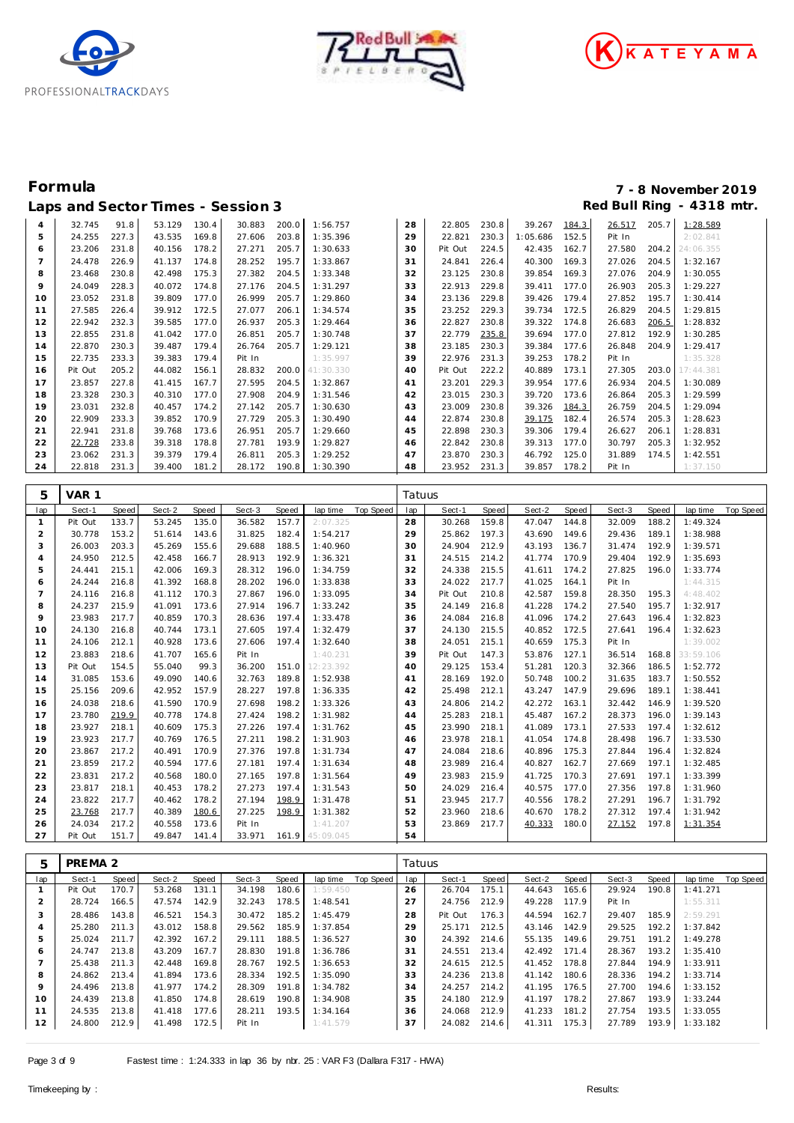





# **Formula 7 - 8 November 2019** Laps and Sector Times - Session 3 **Red Bull Ring - 4318 mtr.** And Sector Times - Session 3

| $\overline{a}$ | 32.745  | 91.8  | 53.129 | 130.4 | 30.883 | 200.0 | 1:56.757  | 28 | 22.805  | 230.8 | 39.267   | 184.3 | 26.517 | 205.7 | 1:28.589  |
|----------------|---------|-------|--------|-------|--------|-------|-----------|----|---------|-------|----------|-------|--------|-------|-----------|
| 5              | 24.255  | 227.3 | 43.535 | 169.8 | 27.606 | 203.8 | 1:35.396  | 29 | 22.821  | 230.3 | 1:05.686 | 152.5 | Pit In |       | 2:02.841  |
| 6              | 23.206  | 231.8 | 40.156 | 178.2 | 27.271 | 205.7 | 1:30.633  | 30 | Pit Out | 224.5 | 42.435   | 162.7 | 27.580 | 204.2 | 24:06.355 |
|                | 24.478  | 226.9 | 41.137 | 174.8 | 28.252 | 195.7 | 1:33.867  | 31 | 24.841  | 226.4 | 40.300   | 169.3 | 27.026 | 204.5 | 1:32.167  |
| 8              | 23.468  | 230.8 | 42.498 | 175.3 | 27.382 | 204.5 | 1:33.348  | 32 | 23.125  | 230.8 | 39.854   | 169.3 | 27.076 | 204.9 | 1:30.055  |
| 9              | 24.049  | 228.3 | 40.072 | 174.8 | 27.176 | 204.5 | 1:31.297  | 33 | 22.913  | 229.8 | 39.411   | 177.0 | 26.903 | 205.3 | 1:29.227  |
| 10             | 23.052  | 231.8 | 39.809 | 177.0 | 26.999 | 205.7 | 1:29.860  | 34 | 23.136  | 229.8 | 39.426   | 179.4 | 27.852 | 195.7 | 1:30.414  |
| 11             | 27.585  | 226.4 | 39.912 | 172.5 | 27.077 | 206.1 | 1:34.574  | 35 | 23.252  | 229.3 | 39.734   | 172.5 | 26.829 | 204.5 | 1:29.815  |
| 12             | 22.942  | 232.3 | 39.585 | 177.0 | 26.937 | 205.3 | 1:29.464  | 36 | 22.827  | 230.8 | 39.322   | 174.8 | 26.683 | 206.5 | 1:28.832  |
| 13             | 22.855  | 231.8 | 41.042 | 177.0 | 26.851 | 205.7 | 1:30.748  | 37 | 22.779  | 235.8 | 39.694   | 177.0 | 27.812 | 192.9 | 1:30.285  |
| 14             | 22.870  | 230.3 | 39.487 | 179.4 | 26.764 | 205.7 | 1:29.121  | 38 | 23.185  | 230.3 | 39.384   | 177.6 | 26.848 | 204.9 | 1:29.417  |
| 15             | 22.735  | 233.3 | 39.383 | 179.4 | Pit In |       | 1:35.997  | 39 | 22.976  | 231.3 | 39.253   | 178.2 | Pit In |       | 1:35.328  |
| 16             | Pit Out | 205.2 | 44.082 | 156.1 | 28.832 | 200.0 | 41:30.330 | 40 | Pit Out | 222.2 | 40.889   | 173.1 | 27.305 | 203.0 | 17:44.381 |
| 17             | 23.857  | 227.8 | 41.415 | 167.7 | 27.595 | 204.5 | 1:32.867  | 41 | 23.201  | 229.3 | 39.954   | 177.6 | 26.934 | 204.5 | 1:30.089  |
| 18             | 23.328  | 230.3 | 40.310 | 177.0 | 27.908 | 204.9 | 1:31.546  | 42 | 23.015  | 230.3 | 39.720   | 173.6 | 26.864 | 205.3 | 1:29.599  |
| 19             | 23.031  | 232.8 | 40.457 | 174.2 | 27.142 | 205.7 | 1:30.630  | 43 | 23.009  | 230.8 | 39.326   | 184.3 | 26.759 | 204.5 | 1:29.094  |
| 20             | 22.909  | 233.3 | 39.852 | 170.9 | 27.729 | 205.3 | 1:30.490  | 44 | 22.874  | 230.8 | 39.175   | 182.4 | 26.574 | 205.3 | 1:28.623  |
| 21             | 22.941  | 231.8 | 39.768 | 173.6 | 26.951 | 205.7 | 1:29.660  | 45 | 22.898  | 230.3 | 39.306   | 179.4 | 26.627 | 206.1 | 1:28.831  |
| 22             | 22.728  | 233.8 | 39.318 | 178.8 | 27.781 | 193.9 | 1:29.827  | 46 | 22.842  | 230.8 | 39.313   | 177.0 | 30.797 | 205.3 | 1:32.952  |
| 23             | 23.062  | 231.3 | 39.379 | 179.4 | 26.811 | 205.3 | 1:29.252  | 47 | 23.870  | 230.3 | 46.792   | 125.0 | 31.889 | 174.5 | 1:42.551  |
| 24             | 22.818  | 231.3 | 39.400 | 181.2 | 28.172 | 190.8 | 1:30.390  | 48 | 23.952  | 231.3 | 39.857   | 178.2 | Pit In |       | 1:37.150  |

| 5              | VAR 1   |              |        |       |        |       |                 |           | Tatuus |         |       |        |       |        |       |           |           |
|----------------|---------|--------------|--------|-------|--------|-------|-----------------|-----------|--------|---------|-------|--------|-------|--------|-------|-----------|-----------|
| lap            | Sect-1  | <b>Speed</b> | Sect-2 | Speed | Sect-3 | Speed | lap time        | Top Speed | lap    | Sect-1  | Speed | Sect-2 | Speed | Sect-3 | Speed | lap time  | Top Speed |
| -1             | Pit Out | 133.7        | 53.245 | 135.0 | 36.582 | 157.7 | 2:07.325        |           | 28     | 30.268  | 159.8 | 47.047 | 144.8 | 32.009 | 188.2 | 1:49.324  |           |
| 2              | 30.778  | 153.2        | 51.614 | 143.6 | 31.825 | 182.4 | 1:54.217        |           | 29     | 25.862  | 197.3 | 43.690 | 149.6 | 29.436 | 189.1 | 1:38.988  |           |
| 3              | 26.003  | 203.3        | 45.269 | 155.6 | 29.688 | 188.5 | 1:40.960        |           | 30     | 24.904  | 212.9 | 43.193 | 136.7 | 31.474 | 192.9 | 1:39.571  |           |
| 4              | 24.950  | 212.5        | 42.458 | 166.7 | 28.913 | 192.9 | 1:36.321        |           | 31     | 24.515  | 214.2 | 41.774 | 170.9 | 29.404 | 192.9 | 1:35.693  |           |
| 5              | 24.441  | 215.1        | 42.006 | 169.3 | 28.312 | 196.0 | 1:34.759        |           | 32     | 24.338  | 215.5 | 41.611 | 174.2 | 27.825 | 196.0 | 1:33.774  |           |
| 6              | 24.244  | 216.8        | 41.392 | 168.8 | 28.202 | 196.0 | 1:33.838        |           | 33     | 24.022  | 217.7 | 41.025 | 164.1 | Pit In |       | 1:44.315  |           |
| $\overline{7}$ | 24.116  | 216.8        | 41.112 | 170.3 | 27.867 | 196.0 | 1:33.095        |           | 34     | Pit Out | 210.8 | 42.587 | 159.8 | 28.350 | 195.3 | 4:48.402  |           |
| 8              | 24.237  | 215.9        | 41.091 | 173.6 | 27.914 | 196.7 | 1:33.242        |           | 35     | 24.149  | 216.8 | 41.228 | 174.2 | 27.540 | 195.7 | 1:32.917  |           |
| 9              | 23.983  | 217.7        | 40.859 | 170.3 | 28.636 | 197.4 | 1:33.478        |           | 36     | 24.084  | 216.8 | 41.096 | 174.2 | 27.643 | 196.4 | 1:32.823  |           |
| 10             | 24.130  | 216.8        | 40.744 | 173.1 | 27.605 | 197.4 | 1:32.479        |           | 37     | 24.130  | 215.5 | 40.852 | 172.5 | 27.641 | 196.4 | 1:32.623  |           |
| 11             | 24.106  | 212.1        | 40.928 | 173.6 | 27.606 | 197.4 | 1:32.640        |           | 38     | 24.051  | 215.1 | 40.659 | 175.3 | Pit In |       | 1:39.002  |           |
| 12             | 23.883  | 218.6        | 41.707 | 165.6 | Pit In |       | 1:40.231        |           | 39     | Pit Out | 147.3 | 53.876 | 127.1 | 36.514 | 168.8 | 33:59.106 |           |
| 13             | Pit Out | 154.5        | 55.040 | 99.3  | 36.200 | 151.0 | 12:23.392       |           | 40     | 29.125  | 153.4 | 51.281 | 120.3 | 32.366 | 186.5 | 1:52.772  |           |
| 14             | 31.085  | 153.6        | 49.090 | 140.6 | 32.763 | 189.8 | 1:52.938        |           | 41     | 28.169  | 192.0 | 50.748 | 100.2 | 31.635 | 183.7 | 1:50.552  |           |
| 15             | 25.156  | 209.6        | 42.952 | 157.9 | 28.227 | 197.8 | 1:36.335        |           | 42     | 25.498  | 212.1 | 43.247 | 147.9 | 29.696 | 189.1 | 1:38.441  |           |
| 16             | 24.038  | 218.6        | 41.590 | 170.9 | 27.698 | 198.2 | 1:33.326        |           | 43     | 24.806  | 214.2 | 42.272 | 163.1 | 32.442 | 146.9 | 1:39.520  |           |
| 17             | 23.780  | 219.9        | 40.778 | 174.8 | 27.424 | 198.2 | 1:31.982        |           | 44     | 25.283  | 218.1 | 45.487 | 167.2 | 28.373 | 196.0 | 1:39.143  |           |
| 18             | 23.927  | 218.1        | 40.609 | 175.3 | 27.226 | 197.4 | 1:31.762        |           | 45     | 23.990  | 218.1 | 41.089 | 173.1 | 27.533 | 197.4 | 1:32.612  |           |
| 19             | 23.923  | 217.7        | 40.769 | 176.5 | 27.211 | 198.2 | 1:31.903        |           | 46     | 23.978  | 218.1 | 41.054 | 174.8 | 28.498 | 196.7 | 1:33.530  |           |
| 20             | 23.867  | 217.2        | 40.491 | 170.9 | 27.376 | 197.8 | 1:31.734        |           | 47     | 24.084  | 218.6 | 40.896 | 175.3 | 27.844 | 196.4 | 1:32.824  |           |
| 21             | 23.859  | 217.2        | 40.594 | 177.6 | 27.181 | 197.4 | 1:31.634        |           | 48     | 23.989  | 216.4 | 40.827 | 162.7 | 27.669 | 197.1 | 1:32.485  |           |
| 22             | 23.831  | 217.2        | 40.568 | 180.0 | 27.165 | 197.8 | 1:31.564        |           | 49     | 23.983  | 215.9 | 41.725 | 170.3 | 27.691 | 197.1 | 1:33.399  |           |
| 23             | 23.817  | 218.1        | 40.453 | 178.2 | 27.273 | 197.4 | 1:31.543        |           | 50     | 24.029  | 216.4 | 40.575 | 177.0 | 27.356 | 197.8 | 1:31.960  |           |
| 24             | 23.822  | 217.7        | 40.462 | 178.2 | 27.194 | 198.9 | 1:31.478        |           | 51     | 23.945  | 217.7 | 40.556 | 178.2 | 27.291 | 196.7 | 1:31.792  |           |
| 25             | 23.768  | 217.7        | 40.389 | 180.6 | 27.225 | 198.9 | 1:31.382        |           | 52     | 23.960  | 218.6 | 40.670 | 178.2 | 27.312 | 197.4 | 1:31.942  |           |
| 26             | 24.034  | 217.2        | 40.558 | 173.6 | Pit In |       | 1:41.207        |           | 53     | 23.869  | 217.7 | 40.333 | 180.0 | 27.152 | 197.8 | 1:31.354  |           |
| 27             | Pit Out | 151.7        | 49.847 | 141.4 | 33.971 |       | 161.9 45:09.045 |           | 54     |         |       |        |       |        |       |           |           |

| 5   | PREMA <sub>2</sub> |       |        |       |        |       |          |           | Tatuus |         |       |        |       |        |       |           |           |
|-----|--------------------|-------|--------|-------|--------|-------|----------|-----------|--------|---------|-------|--------|-------|--------|-------|-----------|-----------|
| lap | Sect-1             | Speed | Sect-2 | Speed | Sect-3 | Speed | lap time | Top Speed | lap    | Sect-1  | Speed | Sect-2 | Speed | Sect-3 | Speed | lap time  | Top Speed |
|     | Pit Out            | 170.7 | 53.268 | 131.1 | 34.198 | 180.6 | 1:59.450 |           | 26     | 26.704  | 175.1 | 44.643 | 165.6 | 29.924 | 190.8 | 1: 41.271 |           |
| 2   | 28.724             | 166.5 | 47.574 | 142.9 | 32.243 | 178.5 | 1:48.541 |           | 27     | 24.756  | 212.9 | 49.228 | 117.9 | Pit In |       | 1:55.311  |           |
| 3   | 28.486             | 143.8 | 46.521 | 154.3 | 30.472 | 185.2 | 1:45.479 |           | 28     | Pit Out | 176.3 | 44.594 | 162.7 | 29.407 | 185.9 | 2:59.291  |           |
| 4   | 25.280             | 211.3 | 43.012 | 158.8 | 29.562 | 185.9 | 1:37.854 |           | 29     | 25.171  | 212.5 | 43.146 | 142.9 | 29.525 | 192.2 | 1:37.842  |           |
| 5   | 25.024             | 211.7 | 42.392 | 167.2 | 29.111 | 188.5 | 1:36.527 |           | 30     | 24.392  | 214.6 | 55.135 | 149.6 | 29.751 | 191.2 | 1:49.278  |           |
| 6   | 24.747             | 213.8 | 43.209 | 167.7 | 28.830 | 191.8 | 1:36.786 |           | 31     | 24.551  | 213.4 | 42.492 | 171.4 | 28.367 | 193.2 | 1:35.410  |           |
|     | 25.438             | 211.3 | 42.448 | 169.8 | 28.767 | 192.5 | 1:36.653 |           | 32     | 24.615  | 212.5 | 41.452 | 178.8 | 27.844 | 194.9 | 1:33.911  |           |
| 8   | 24.862             | 213.4 | 41.894 | 173.6 | 28.334 | 192.5 | 1:35.090 |           | 33     | 24.236  | 213.8 | 41.142 | 180.6 | 28.336 | 194.2 | 1:33.714  |           |
| 9   | 24.496             | 213.8 | 41.977 | 174.2 | 28.309 | 191.8 | 1:34.782 |           | 34     | 24.257  | 214.2 | 41.195 | 176.5 | 27.700 | 194.6 | 1:33.152  |           |
| 10  | 24.439             | 213.8 | 41.850 | 174.8 | 28.619 | 190.8 | 1:34.908 |           | 35     | 24.180  | 212.9 | 41.197 | 178.2 | 27.867 | 193.9 | 1:33.244  |           |
| 11  | 24.535             | 213.8 | 41.418 | 177.6 | 28.211 | 193.5 | 1:34.164 |           | 36     | 24.068  | 212.9 | 41.233 | 181.2 | 27.754 | 193.5 | 1:33.055  |           |
| 12  | 24.800             | 212.9 | 41.498 | 172.5 | Pit In |       | 1:41.579 |           | 37     | 24.082  | 214.6 | 41.311 | 175.3 | 27.789 | 193.9 | 1:33.182  |           |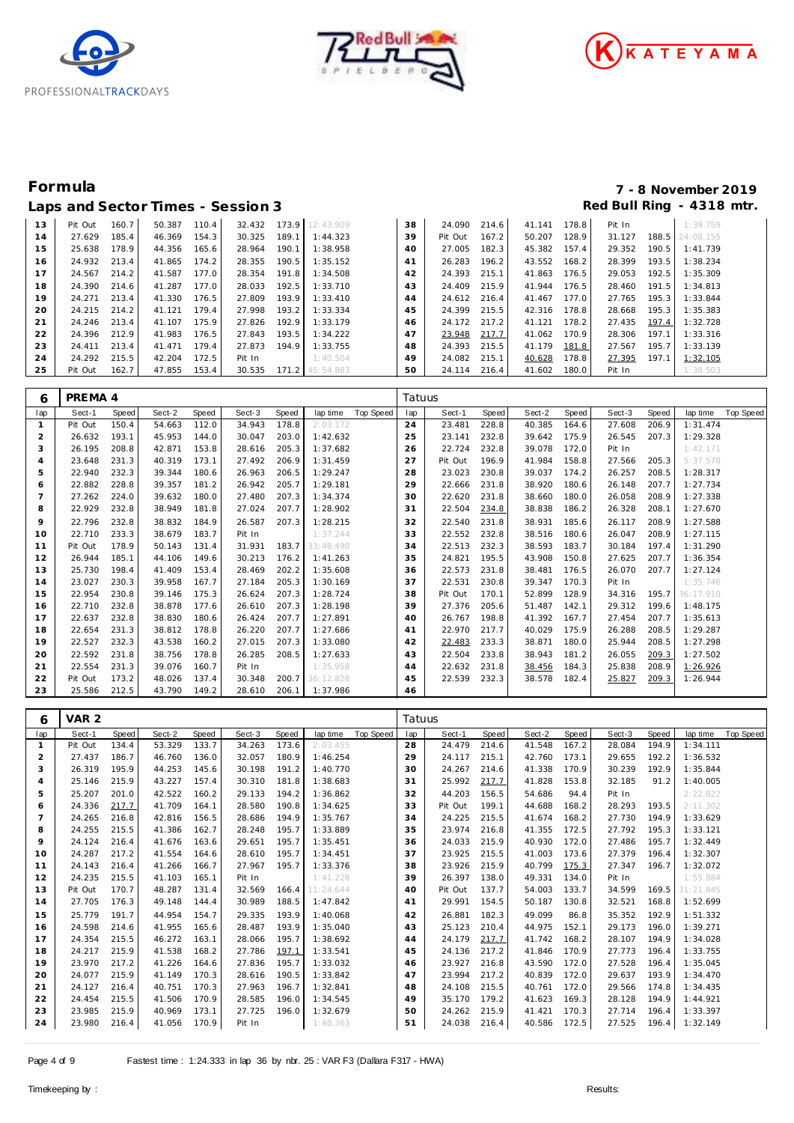





# **Formula 7 - 8 November 2019**

|    |         |       | Laps and Sector Times - Session 3 |       |        |       |                 |    |         |       |        |       |        |       | Red Bull Ring - 4318 mtr |  |
|----|---------|-------|-----------------------------------|-------|--------|-------|-----------------|----|---------|-------|--------|-------|--------|-------|--------------------------|--|
| 13 | Pit Out | 160.7 | 50.387                            | 110.4 | 32.432 |       | 173.9 12:43.909 | 38 | 24.090  | 214.6 | 41.141 | 178.8 | Pit In |       | 1:39.759                 |  |
| 14 | 27.629  | 185.4 | 46.369                            | 154.3 | 30.325 | 189.1 | 1:44.323        | 39 | Pit Out | 167.2 | 50.207 | 128.9 | 31.127 | 188.5 | 24:08.155                |  |
| 15 | 25.638  | 178.9 | 44.356                            | 165.6 | 28.964 | 190.1 | 1:38.958        | 40 | 27.005  | 182.3 | 45.382 | 157.4 | 29.352 | 190.5 | 1:41.739                 |  |
| 16 | 24.932  | 213.4 | 41.865                            | 174.2 | 28.355 | 190.5 | 1:35.152        | 41 | 26.283  | 196.2 | 43.552 | 168.2 | 28.399 | 193.5 | 1:38.234                 |  |
| 17 | 24.567  | 214.2 | 41.587                            | 177.0 | 28.354 | 191.8 | 1:34.508        | 42 | 24.393  | 215.1 | 41.863 | 176.5 | 29.053 | 192.5 | 1:35.309                 |  |
| 18 | 24.390  | 214.6 | 41.287                            | 177.0 | 28.033 | 192.5 | 1:33.710        | 43 | 24.409  | 215.9 | 41.944 | 176.5 | 28.460 | 191.5 | 1:34.813                 |  |
| 19 | 24.271  | 213.4 | 41.330                            | 176.5 | 27.809 | 193.9 | 1:33.410        | 44 | 24.612  | 216.4 | 41.467 | 177.0 | 27.765 | 195.3 | 1:33.844                 |  |
| 20 | 24.215  | 214.2 | 41.121                            | 179.4 | 27.998 | 193.2 | 1:33.334        | 45 | 24.399  | 215.5 | 42.316 | 178.8 | 28.668 | 195.3 | 1:35.383                 |  |
| 21 | 24.246  | 213.4 | 41.107                            | 175.9 | 27.826 | 192.9 | 1:33.179        | 46 | 24.172  | 217.2 | 41.121 | 178.2 | 27.435 | 197.4 | 1:32.728                 |  |
| 22 | 24.396  | 212.9 | 41.983                            | 176.5 | 27.843 | 193.5 | 1:34.222        | 47 | 23.948  | 217.7 | 41.062 | 170.9 | 28.306 | 197.1 | 1:33.316                 |  |
| 23 | 24.411  | 213.4 | 41.471                            | 179.4 | 27.873 | 194.9 | 1:33.755        | 48 | 24.393  | 215.5 | 41.179 | 181.8 | 27.567 | 195.7 | 1:33.139                 |  |
| 24 | 24.292  | 215.5 | 42.204                            | 172.5 | Pit In |       | 1:40.504        | 49 | 24.082  | 215.1 | 40.628 | 178.8 | 27.395 | 197.1 | 1:32.105                 |  |
| 25 | Pit Out | 162.7 | 47.855                            | 153.4 | 30.535 | 171.2 | 45:54.883       | 50 | 24.114  | 216.4 | 41.602 | 180.0 | Pit In |       | 1:38.503                 |  |

| 6              | PREMA 4 |       |        |       |        |       |           |                  | Tatuus |         |              |        |       |        |       |           |           |
|----------------|---------|-------|--------|-------|--------|-------|-----------|------------------|--------|---------|--------------|--------|-------|--------|-------|-----------|-----------|
| lap            | Sect-1  | Speed | Sect-2 | Speed | Sect-3 | Speed | lap time  | <b>Top Speed</b> | lap    | Sect-1  | <b>Speed</b> | Sect-2 | Speed | Sect-3 | Speed | lap time  | Top Speed |
|                | Pit Out | 150.4 | 54.663 | 112.0 | 34.943 | 178.8 | 2:03.172  |                  | 24     | 23.481  | 228.8        | 40.385 | 164.6 | 27.608 | 206.9 | 1:31.474  |           |
| $\overline{2}$ | 26.632  | 193.1 | 45.953 | 144.0 | 30.047 | 203.0 | 1:42.632  |                  | 25     | 23.141  | 232.8        | 39.642 | 175.9 | 26.545 | 207.3 | 1:29.328  |           |
| 3              | 26.195  | 208.8 | 42.871 | 153.8 | 28.616 | 205.3 | 1:37.682  |                  | 26     | 22.724  | 232.8        | 39.078 | 172.0 | Pit In |       | 1:42.171  |           |
| 4              | 23.648  | 231.3 | 40.319 | 173.1 | 27.492 | 206.9 | 1:31.459  |                  | 27     | Pit Out | 196.9        | 41.984 | 158.8 | 27.566 | 205.3 | 5:37.578  |           |
| 5              | 22.940  | 232.3 | 39.344 | 180.6 | 26.963 | 206.5 | 1:29.247  |                  | 28     | 23.023  | 230.8        | 39.037 | 174.2 | 26.257 | 208.5 | 1:28.317  |           |
| 6              | 22.882  | 228.8 | 39.357 | 181.2 | 26.942 | 205.7 | 1:29.181  |                  | 29     | 22.666  | 231.8        | 38.920 | 180.6 | 26.148 | 207.7 | 1:27.734  |           |
|                | 27.262  | 224.0 | 39.632 | 180.0 | 27.480 | 207.3 | 1:34.374  |                  | 30     | 22.620  | 231.8        | 38.660 | 180.0 | 26.058 | 208.9 | 1:27.338  |           |
| 8              | 22.929  | 232.8 | 38.949 | 181.8 | 27.024 | 207.7 | 1:28.902  |                  | 31     | 22.504  | 234.8        | 38.838 | 186.2 | 26.328 | 208.1 | 1:27.670  |           |
| 9              | 22.796  | 232.8 | 38.832 | 184.9 | 26.587 | 207.3 | 1:28.215  |                  | 32     | 22.540  | 231.8        | 38.931 | 185.6 | 26.117 | 208.9 | 1:27.588  |           |
| 10             | 22.710  | 233.3 | 38.679 | 183.7 | Pit In |       | 1:37.244  |                  | 33     | 22.552  | 232.8        | 38.516 | 180.6 | 26.047 | 208.9 | 1:27.115  |           |
| 11             | Pit Out | 178.9 | 50.143 | 131.4 | 31.931 | 183.7 | 33:48.490 |                  | 34     | 22.513  | 232.3        | 38.593 | 183.7 | 30.184 | 197.4 | 1:31.290  |           |
| 12             | 26.944  | 185.1 | 44.106 | 149.6 | 30.213 | 176.2 | 1:41.263  |                  | 35     | 24.821  | 195.5        | 43.908 | 150.8 | 27.625 | 207.7 | 1:36.354  |           |
| 13             | 25.730  | 198.4 | 41.409 | 153.4 | 28.469 | 202.2 | 1:35.608  |                  | 36     | 22.573  | 231.8        | 38.481 | 176.5 | 26.070 | 207.7 | 1:27.124  |           |
| 14             | 23.027  | 230.3 | 39.958 | 167.7 | 27.184 | 205.3 | 1:30.169  |                  | 37     | 22.531  | 230.8        | 39.347 | 170.3 | Pit In |       | 1:35.746  |           |
| 15             | 22.954  | 230.8 | 39.146 | 175.3 | 26.624 | 207.3 | 1:28.724  |                  | 38     | Pit Out | 170.1        | 52.899 | 128.9 | 34.316 | 195.7 | 36:17.910 |           |
| 16             | 22.710  | 232.8 | 38.878 | 177.6 | 26.610 | 207.3 | 1:28.198  |                  | 39     | 27.376  | 205.6        | 51.487 | 142.1 | 29.312 | 199.6 | 1:48.175  |           |
| 17             | 22.637  | 232.8 | 38.830 | 180.6 | 26.424 | 207.7 | 1:27.891  |                  | 40     | 26.767  | 198.8        | 41.392 | 167.7 | 27.454 | 207.7 | 1:35.613  |           |
| 18             | 22.654  | 231.3 | 38.812 | 178.8 | 26.220 | 207.7 | 1:27.686  |                  | 41     | 22.970  | 217.7        | 40.029 | 175.9 | 26.288 | 208.5 | 1:29.287  |           |
| 19             | 22.527  | 232.3 | 43.538 | 160.2 | 27.015 | 207.3 | 1:33.080  |                  | 42     | 22.483  | 233.3        | 38.871 | 180.0 | 25.944 | 208.5 | 1:27.298  |           |
| 20             | 22.592  | 231.8 | 38.756 | 178.8 | 26.285 | 208.5 | 1:27.633  |                  | 43     | 22.504  | 233.8        | 38.943 | 181.2 | 26.055 | 209.3 | 1:27.502  |           |
| 21             | 22.554  | 231.3 | 39.076 | 160.7 | Pit In |       | 1:35.958  |                  | 44     | 22.632  | 231.8        | 38.456 | 184.3 | 25.838 | 208.9 | 1:26.926  |           |
| 22             | Pit Out | 173.2 | 48.026 | 137.4 | 30.348 | 200.7 | 36:12.828 |                  | 45     | 22.539  | 232.3        | 38.578 | 182.4 | 25.827 | 209.3 | 1:26.944  |           |
| 23             | 25.586  | 212.5 | 43.790 | 149.2 | 28.610 | 206.1 | 1:37.986  |                  | 46     |         |              |        |       |        |       |           |           |

| 6            | VAR 2   |       |        |       |        |       |           |           | Tatuus |         |       |        |       |        |       |           |                  |
|--------------|---------|-------|--------|-------|--------|-------|-----------|-----------|--------|---------|-------|--------|-------|--------|-------|-----------|------------------|
| lap          | Sect-1  | Speed | Sect-2 | Speed | Sect-3 | Speed | lap time  | Top Speed | lap    | Sect-1  | Speed | Sect-2 | Speed | Sect-3 | Speed | lap time  | <b>Top Speed</b> |
| $\mathbf{1}$ | Pit Out | 134.4 | 53.329 | 133.7 | 34.263 | 173.6 | 2:03.455  |           | 28     | 24.479  | 214.6 | 41.548 | 167.2 | 28.084 | 194.9 | 1:34.111  |                  |
| 2            | 27.437  | 186.7 | 46.760 | 136.0 | 32.057 | 180.9 | 1:46.254  |           | 29     | 24.117  | 215.1 | 42.760 | 173.1 | 29.655 | 192.2 | 1:36.532  |                  |
| 3            | 26.319  | 195.9 | 44.253 | 145.6 | 30.198 | 191.2 | 1:40.770  |           | 30     | 24.267  | 214.6 | 41.338 | 170.9 | 30.239 | 192.9 | 1:35.844  |                  |
| 4            | 25.146  | 215.9 | 43.227 | 157.4 | 30.310 | 181.8 | 1:38.683  |           | 31     | 25.992  | 217.7 | 41.828 | 153.8 | 32.185 | 91.2  | 1:40.005  |                  |
| 5            | 25.207  | 201.0 | 42.522 | 160.2 | 29.133 | 194.2 | 1:36.862  |           | 32     | 44.203  | 156.5 | 54.686 | 94.4  | Pit In |       | 2:22.822  |                  |
| 6            | 24.336  | 217.7 | 41.709 | 164.1 | 28.580 | 190.8 | 1:34.625  |           | 33     | Pit Out | 199.1 | 44.688 | 168.2 | 28.293 | 193.5 | 2:11.302  |                  |
| 7            | 24.265  | 216.8 | 42.816 | 156.5 | 28.686 | 194.9 | 1:35.767  |           | 34     | 24.225  | 215.5 | 41.674 | 168.2 | 27.730 | 194.9 | 1:33.629  |                  |
| 8            | 24.255  | 215.5 | 41.386 | 162.7 | 28.248 | 195.7 | 1:33.889  |           | 35     | 23.974  | 216.8 | 41.355 | 172.5 | 27.792 | 195.3 | 1:33.121  |                  |
| 9            | 24.124  | 216.4 | 41.676 | 163.6 | 29.651 | 195.7 | 1:35.451  |           | 36     | 24.033  | 215.9 | 40.930 | 172.0 | 27.486 | 195.7 | 1:32.449  |                  |
| 10           | 24.287  | 217.2 | 41.554 | 164.6 | 28.610 | 195.7 | 1:34.451  |           | 37     | 23.925  | 215.5 | 41.003 | 173.6 | 27.379 | 196.4 | 1:32.307  |                  |
| 11           | 24.143  | 216.4 | 41.266 | 166.7 | 27.967 | 195.7 | 1:33.376  |           | 38     | 23.926  | 215.9 | 40.799 | 175.3 | 27.347 | 196.7 | 1:32.072  |                  |
| 12           | 24.235  | 215.5 | 41.103 | 165.1 | Pit In |       | 1:41.228  |           | 39     | 26.397  | 138.0 | 49.331 | 134.0 | Pit In |       | 1:55.884  |                  |
| 13           | Pit Out | 170.7 | 48.287 | 131.4 | 32.569 | 166.4 | 11:24.644 |           | 40     | Pit Out | 137.7 | 54.003 | 133.7 | 34.599 | 169.5 | 31:21.845 |                  |
| 14           | 27.705  | 176.3 | 49.148 | 144.4 | 30.989 | 188.5 | 1:47.842  |           | 41     | 29.991  | 154.5 | 50.187 | 130.8 | 32.521 | 168.8 | 1:52.699  |                  |
| 15           | 25.779  | 191.7 | 44.954 | 154.7 | 29.335 | 193.9 | 1:40.068  |           | 42     | 26.881  | 182.3 | 49.099 | 86.8  | 35.352 | 192.9 | 1:51.332  |                  |
| 16           | 24.598  | 214.6 | 41.955 | 165.6 | 28.487 | 193.9 | 1:35.040  |           | 43     | 25.123  | 210.4 | 44.975 | 152.1 | 29.173 | 196.0 | 1:39.271  |                  |
| 17           | 24.354  | 215.5 | 46.272 | 163.1 | 28.066 | 195.7 | 1:38.692  |           | 44     | 24.179  | 217.7 | 41.742 | 168.2 | 28.107 | 194.9 | 1:34.028  |                  |
| 18           | 24.217  | 215.9 | 41.538 | 168.2 | 27.786 | 197.1 | 1:33.541  |           | 45     | 24.136  | 217.2 | 41.846 | 170.9 | 27.773 | 196.4 | 1:33.755  |                  |
| 19           | 23.970  | 217.2 | 41.226 | 164.6 | 27.836 | 195.7 | 1:33.032  |           | 46     | 23.927  | 216.8 | 43.590 | 172.0 | 27.528 | 196.4 | 1:35.045  |                  |
| 20           | 24.077  | 215.9 | 41.149 | 170.3 | 28.616 | 190.5 | 1:33.842  |           | 47     | 23.994  | 217.2 | 40.839 | 172.0 | 29.637 | 193.9 | 1:34.470  |                  |
| 21           | 24.127  | 216.4 | 40.751 | 170.3 | 27.963 | 196.7 | 1:32.841  |           | 48     | 24.108  | 215.5 | 40.761 | 172.0 | 29.566 | 174.8 | 1:34.435  |                  |
| 22           | 24.454  | 215.5 | 41.506 | 170.9 | 28.585 | 196.0 | 1:34.545  |           | 49     | 35.170  | 179.2 | 41.623 | 169.3 | 28.128 | 194.9 | 1:44.921  |                  |
| 23           | 23.985  | 215.9 | 40.969 | 173.1 | 27.725 | 196.0 | 1:32.679  |           | 50     | 24.262  | 215.9 | 41.421 | 170.3 | 27.714 | 196.4 | 1:33.397  |                  |
| 24           | 23.980  | 216.4 | 41.056 | 170.9 | Pit In |       | 1:40.363  |           | 51     | 24.038  | 216.4 | 40.586 | 172.5 | 27.525 | 196.4 | 1:32.149  |                  |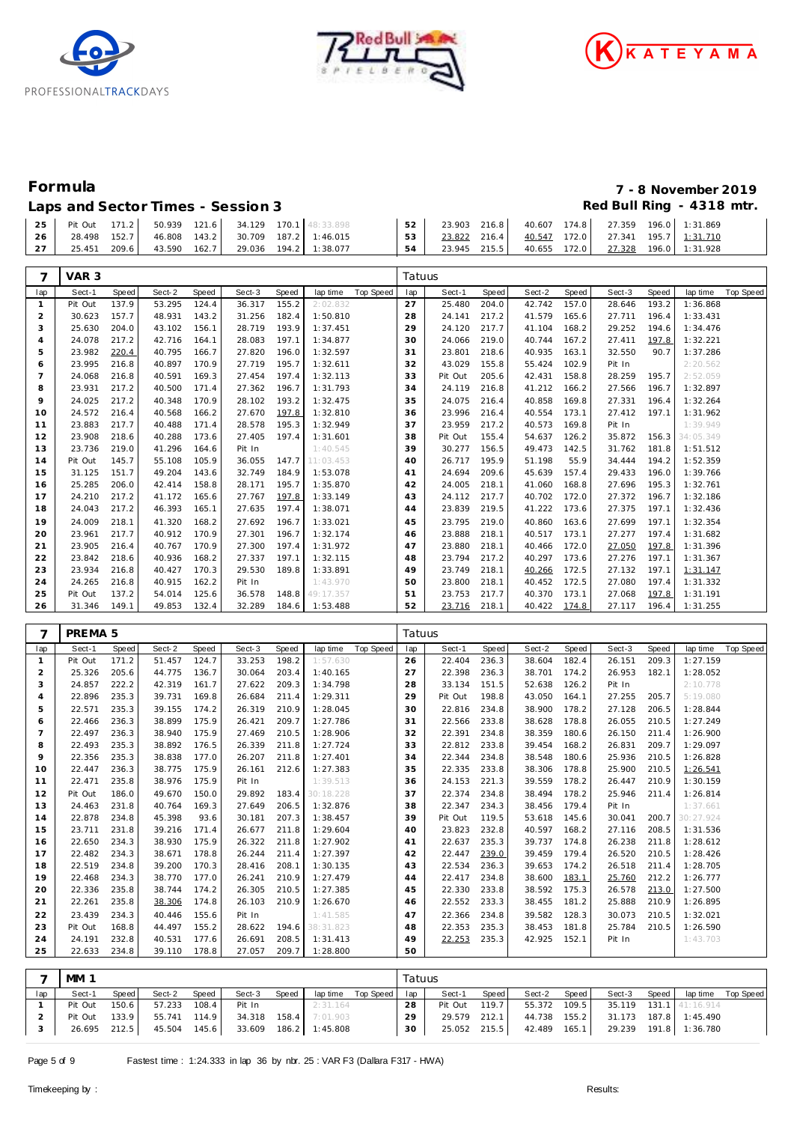





## Laps and Sector Times - Session 3 *Red Bull Ring - 4318 mtr.*

| Formula                                   | 7 - 8 November 2019         |
|-------------------------------------------|-----------------------------|
| $l$ and $S$ actor $T$ imes $S$ accion $2$ | $Dod$ Rull Ding $A$ 218 mtr |

|  |  |  |  | 25 Pit Out 171.2 50.939 121.6 34.129 170.1 48:33.898     |                                                                                                                                                                                                       |  |  |  |  |
|--|--|--|--|----------------------------------------------------------|-------------------------------------------------------------------------------------------------------------------------------------------------------------------------------------------------------|--|--|--|--|
|  |  |  |  | 26   28.498 152.7   46.808 143.2   30.709 187.2 1:46.015 | $\begin{array}{ c c c c c c c c c c c c c c c c } \hline \text{53} & \text{23.822} & \text{216.4} & \text{40.547} & \text{172.0} & \text{27.341} & \text{195.7} & \text{1:31.710} \hline \end{array}$ |  |  |  |  |
|  |  |  |  | 27   25.451 209.6   43.590 162.7   29.036 194.2 1:38.077 |                                                                                                                                                                                                       |  |  |  |  |

| 7              | VAR <sub>3</sub>   |       |        |       |        |              |           |           | Tatuus |         |              |        |              |        |              |           |                  |
|----------------|--------------------|-------|--------|-------|--------|--------------|-----------|-----------|--------|---------|--------------|--------|--------------|--------|--------------|-----------|------------------|
| lap            | Sect-1             | Speed | Sect-2 | Speed | Sect-3 | <b>Speed</b> | lap time  | Top Speed | lap    | Sect-1  | <b>Speed</b> | Sect-2 | <b>Speed</b> | Sect-3 | <b>Speed</b> | lap time  | <b>Top Speed</b> |
| $\mathbf{1}$   | Pit Out            | 137.9 | 53.295 | 124.4 | 36.317 | 155.2        | 2:02.832  |           | 27     | 25.480  | 204.0        | 42.742 | 157.0        | 28.646 | 193.2        | 1:36.868  |                  |
| $\overline{c}$ | 30.623             | 157.7 | 48.931 | 143.2 | 31.256 | 182.4        | 1:50.810  |           | 28     | 24.141  | 217.2        | 41.579 | 165.6        | 27.711 | 196.4        | 1:33.431  |                  |
| 3              | 25.630             | 204.0 | 43.102 | 156.1 | 28.719 | 193.9        | 1:37.451  |           | 29     | 24.120  | 217.7        | 41.104 | 168.2        | 29.252 | 194.6        | 1:34.476  |                  |
| 4              | 24.078             | 217.2 | 42.716 | 164.1 | 28.083 | 197.1        | 1:34.877  |           | 30     | 24.066  | 219.0        | 40.744 | 167.2        | 27.411 | 197.8        | 1:32.221  |                  |
| 5              | 23.982             | 220.4 | 40.795 | 166.7 | 27.820 | 196.0        | 1:32.597  |           | 31     | 23.801  | 218.6        | 40.935 | 163.1        | 32.550 | 90.7         | 1:37.286  |                  |
| 6              | 23.995             | 216.8 | 40.897 | 170.9 | 27.719 | 195.7        | 1:32.611  |           | 32     | 43.029  | 155.8        | 55.424 | 102.9        | Pit In |              | 2:20.562  |                  |
| $\overline{7}$ | 24.068             | 216.8 | 40.591 | 169.3 | 27.454 | 197.4        | 1:32.113  |           | 33     | Pit Out | 205.6        | 42.431 | 158.8        | 28.259 | 195.7        | 2:52.059  |                  |
| 8              | 23.931             | 217.2 | 40.500 | 171.4 | 27.362 | 196.7        | 1:31.793  |           | 34     | 24.119  | 216.8        | 41.212 | 166.2        | 27.566 | 196.7        | 1:32.897  |                  |
| 9              | 24.025             | 217.2 | 40.348 | 170.9 | 28.102 | 193.2        | 1:32.475  |           | 35     | 24.075  | 216.4        | 40.858 | 169.8        | 27.331 | 196.4        | 1:32.264  |                  |
| 10             | 24.572             | 216.4 | 40.568 | 166.2 | 27.670 | 197.8        | 1:32.810  |           | 36     | 23.996  | 216.4        | 40.554 | 173.1        | 27.412 | 197.1        | 1:31.962  |                  |
| 11             | 23.883             | 217.7 | 40.488 | 171.4 | 28.578 | 195.3        | 1:32.949  |           | 37     | 23.959  | 217.2        | 40.573 | 169.8        | Pit In |              | 1:39.949  |                  |
| 12             | 23.908             | 218.6 | 40.288 | 173.6 | 27.405 | 197.4        | 1:31.601  |           | 38     | Pit Out | 155.4        | 54.637 | 126.2        | 35.872 | 156.3        | 34:05.349 |                  |
| 13             | 23.736             | 219.0 | 41.296 | 164.6 | Pit In |              | 1:40.545  |           | 39     | 30.277  | 156.5        | 49.473 | 142.5        | 31.762 | 181.8        | 1:51.512  |                  |
| 14             | Pit Out            | 145.7 | 55.108 | 105.9 | 36.055 | 147.7        | 11:03.453 |           | 40     | 26.717  | 195.9        | 51.198 | 55.9         | 34.444 | 194.2        | 1:52.359  |                  |
| 15             | 31.125             | 151.7 | 49.204 | 143.6 | 32.749 | 184.9        | 1:53.078  |           | 41     | 24.694  | 209.6        | 45.639 | 157.4        | 29.433 | 196.0        | 1:39.766  |                  |
| 16             | 25.285             | 206.0 | 42.414 | 158.8 | 28.171 | 195.7        | 1:35.870  |           | 42     | 24.005  | 218.1        | 41.060 | 168.8        | 27.696 | 195.3        | 1:32.761  |                  |
| 17             | 24.210             | 217.2 | 41.172 | 165.6 | 27.767 | 197.8        | 1:33.149  |           | 43     | 24.112  | 217.7        | 40.702 | 172.0        | 27.372 | 196.7        | 1:32.186  |                  |
| 18             | 24.043             | 217.2 | 46.393 | 165.1 | 27.635 | 197.4        | 1:38.071  |           | 44     | 23.839  | 219.5        | 41.222 | 173.6        | 27.375 | 197.1        | 1:32.436  |                  |
| 19             | 24.009             | 218.1 | 41.320 | 168.2 | 27.692 | 196.7        | 1:33.021  |           | 45     | 23.795  | 219.0        | 40.860 | 163.6        | 27.699 | 197.1        | 1:32.354  |                  |
| 20             | 23.961             | 217.7 | 40.912 | 170.9 | 27.301 | 196.7        | 1:32.174  |           | 46     | 23.888  | 218.1        | 40.517 | 173.1        | 27.277 | 197.4        | 1:31.682  |                  |
| 21             | 23.905             | 216.4 | 40.767 | 170.9 | 27.300 | 197.4        | 1:31.972  |           | 47     | 23.880  | 218.1        | 40.466 | 172.0        | 27.050 | 197.8        | 1:31.396  |                  |
| 22             | 23.842             | 218.6 | 40.936 | 168.2 | 27.337 | 197.1        | 1:32.115  |           | 48     | 23.794  | 217.2        | 40.297 | 173.6        | 27.276 | 197.1        | 1:31.367  |                  |
| 23             | 23.934             | 216.8 | 40.427 | 170.3 | 29.530 | 189.8        | 1:33.891  |           | 49     | 23.749  | 218.1        | 40.266 | 172.5        | 27.132 | 197.1        | 1:31.147  |                  |
| 24             | 24.265             | 216.8 | 40.915 | 162.2 | Pit In |              | 1:43.970  |           | 50     | 23.800  | 218.1        | 40.452 | 172.5        | 27.080 | 197.4        | 1:31.332  |                  |
| 25             | Pit Out            | 137.2 | 54.014 | 125.6 | 36.578 | 148.8        | 49:17.357 |           | 51     | 23.753  | 217.7        | 40.370 | 173.1        | 27.068 | 197.8        | 1:31.191  |                  |
| 26             | 31.346             | 149.1 | 49.853 | 132.4 | 32.289 | 184.6        | 1:53.488  |           | 52     | 23.716  | 218.1        | 40.422 | 174.8        | 27.117 | 196.4        | 1:31.255  |                  |
|                |                    |       |        |       |        |              |           |           |        |         |              |        |              |        |              |           |                  |
| 7              | PREMA <sub>5</sub> |       |        |       |        |              |           |           | Tatuus |         |              |        |              |        |              |           |                  |
| lap            | Sect-1             | Speed | Sect-2 | Speed | Sect-3 | <b>Speed</b> | lap time  | Top Speed | lap    | Sect-1  | <b>Speed</b> | Sect-2 | <b>Speed</b> | Sect-3 | <b>Speed</b> | lap time  | <b>Top Speed</b> |
| $\mathbf{1}$   | Pit Out            | 171.2 | 51.457 | 124.7 | 33.253 | 198.2        | 1:57.630  |           | 26     | 22.404  | 236.3        | 38.604 | 182.4        | 26.151 | 209.3        | 1:27.159  |                  |
| $\overline{c}$ | 25.326             | 205.6 | 44.775 | 136.7 | 30.064 | 203.4        | 1:40.165  |           | 27     | 22.398  | 236.3        | 38.701 | 174.2        | 26.953 | 182.1        | 1:28.052  |                  |
| 3              | 24.857             | 222.2 | 42.319 | 161.7 | 27.622 | 209.3        | 1:34.798  |           | 28     | 33.134  | 151.5        | 52.638 | 126.2        | Pit In |              | 2:10.778  |                  |
| $\overline{4}$ | 22.896             | 235.3 | 39.731 | 169.8 | 26.684 | 211.4        | 1:29.311  |           | 29     | Pit Out | 198.8        | 43.050 | 164.1        | 27.255 | 205.7        | 5:19.080  |                  |
| 5              | 22.571             | 235.3 | 39.155 | 174.2 | 26.319 | 210.9        | 1:28.045  |           | 30     | 22.816  | 234.8        | 38.900 | 178.2        | 27.128 | 206.5        | 1:28.844  |                  |
| 6              | 22.466             | 236.3 | 38.899 | 175.9 | 26.421 | 209.7        | 1:27.786  |           | 31     | 22.566  | 233.8        | 38.628 | 178.8        | 26.055 | 210.5        | 1:27.249  |                  |
| $\overline{7}$ | 22.497             | 236.3 | 38.940 | 175.9 | 27.469 | 210.5        | 1:28.906  |           | 32     | 22.391  | 234.8        | 38.359 | 180.6        | 26.150 | 211.4        | 1:26.900  |                  |
| 8              | 22.493             | 235.3 | 38.892 | 176.5 | 26.339 | 211.8        | 1:27.724  |           | 33     | 22.812  | 233.8        | 39.454 | 168.2        | 26.831 | 209.7        | 1:29.097  |                  |
| $\circ$        | 22.356             | 235.3 | 38.838 | 177.0 | 26.207 | 211.8        | 1:27.401  |           | 34     | 22.344  | 234.8        | 38.548 | 180.6        | 25.936 | 210.5        | 1:26.828  |                  |
| 10             | 22.447             | 236.3 | 38.775 | 175.9 | 26.161 | 212.6        | 1:27.383  |           | 35     | 22.335  | 233.8        | 38.306 | 178.8        | 25.900 | 210.5        | 1:26.541  |                  |
| 11             | 22.471             | 235.8 | 38.976 | 175.9 | Pit In |              | 1:39.513  |           | 36     | 24.153  | 221.3        | 39.559 | 178.2        | 26.447 | 210.9        | 1:30.159  |                  |
| 12             | Pit Out            | 186.0 | 49.670 | 150.0 | 29.892 | 183.4        | 30:18.228 |           | 37     | 22.374  | 234.8        | 38.494 | 178.2        | 25.946 | 211.4        | 1:26.814  |                  |
| 13             | 24.463             | 231.8 | 40.764 | 169.3 | 27.649 | 206.5        | 1:32.876  |           | 38     | 22.347  | 234.3        | 38.456 | 179.4        | Pit In |              | 1:37.661  |                  |
| 14             | 22.878             | 234.8 | 45.398 | 93.6  | 30.181 | 207.3        | 1:38.457  |           | 39     | Pit Out | 119.5        | 53.618 | 145.6        | 30.041 | 200.7        | 30:27.924 |                  |
| 15             | 23.711             | 231.8 | 39.216 | 171.4 | 26.677 | 211.8        | 1:29.604  |           | 40     | 23.823  | 232.8        | 40.597 | 168.2        | 27.116 | 208.5        | 1:31.536  |                  |
| 16             | 22.650             | 234.3 | 38.930 | 175.9 | 26.322 | 211.8        | 1:27.902  |           | 41     | 22.637  | 235.3        | 39.737 | 174.8        | 26.238 | 211.8        | 1:28.612  |                  |
| 17             | 22.482             | 234.3 | 38.671 | 178.8 | 26.244 | 211.4        | 1:27.397  |           | 42     | 22.447  | 239.0        | 39.459 | 179.4        | 26.520 | 210.5        | 1:28.426  |                  |
| 18             | 22.519             | 234.8 | 39.200 | 170.3 | 28.416 | 208.1        | 1:30.135  |           | 43     | 22.534  | 236.3        | 39.653 | 174.2        | 26.518 | 211.4        | 1:28.705  |                  |

|     | MM 1    |       |              |       |        |       |                |                    | Tatuus |              |       |              |       |        |       |                        |           |
|-----|---------|-------|--------------|-------|--------|-------|----------------|--------------------|--------|--------------|-------|--------------|-------|--------|-------|------------------------|-----------|
| lap | Sect-1  | Speed | Sect-2       | Speed | Sect-3 | Speed |                | lap time Top Speed | lap I  | Sect-1       | Speed | Sect-2       | Speed | Sect-3 | Speed | lap time               | Top Speed |
|     | Pit Out | 150.6 | 57.233       | 108.4 | Pit In |       | 2:31.164       |                    | 28     | Pit Out      | 119.7 | 55.372 109.5 |       |        |       | 35.119 131.1 41:16.914 |           |
|     | Pit Out | 133.9 | 55.741 114.9 |       | 34.318 | 158.4 | 7:01.903       |                    | 29     | 29.579       | 212.1 | 44.738 155.2 |       |        |       | 31.173 187.8 1:45.490  |           |
|     | 26.695  | 212.5 | 45.504 145.6 |       | 33.609 |       | 186.2 1:45.808 |                    | 30     | 25.052 215.5 |       | 42.489 165.1 |       | 29.239 |       | 191.8 1:36.780         |           |

 22.468 234.3 38.770 177.0 26.241 210.9 1:27.479 22.336 235.8 38.744 174.2 26.305 210.5 1:27.385 22.261 235.8 38.306 174.8 26.103 210.9 1:26.670 23.439 234.3 40.446 155.6 Pit In 1:41.585 23 Pit Out 168.8 44.497 155.2 28.622 194.6 38:31.823 24.191 232.8 40.531 177.6 26.691 208.5 1:31.413 22.633 234.8 39.110 178.8 27.057 209.7 1:28.800  22.417 234.8 38.600 183.1 25.760 212.2 1:26.777 22.330 233.8 38.592 175.3 26.578 213.0 1:27.500 22.552 233.3 38.455 181.2 25.888 210.9 1:26.895 22.366 234.8 39.582 128.3 30.073 210.5 1:32.021 22.353 235.3 38.453 181.8 25.784 210.5 1:26.590 **22.253 235.3 42.925 152.1** Pit In 1:43.703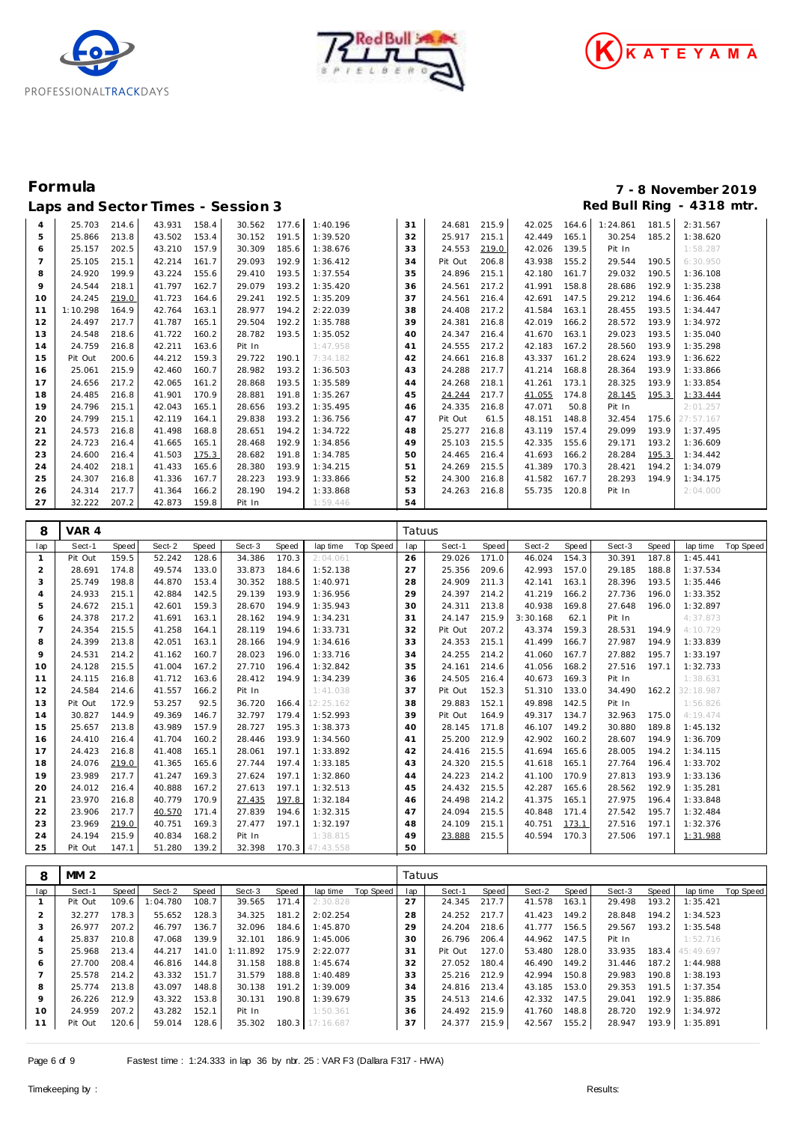





# **Formula 7 - 8 November 2019** Laps and Sector Times - Session 3 **Red Bull Ring - 4318 mtr.** And Sector Times - Session 3

| $\overline{4}$ | 25.703   | 214.6 | 43.931 | 158.4 | 30.562 | 177.6 | 1:40.196 | 31 | 24.681  | 215.9 | 42.025       | 164.6 | 1:24.861 | 181.5 | 2:31.567  |
|----------------|----------|-------|--------|-------|--------|-------|----------|----|---------|-------|--------------|-------|----------|-------|-----------|
| 5              | 25.866   | 213.8 | 43.502 | 153.4 | 30.152 | 191.5 | 1:39.520 | 32 | 25.917  | 215.1 | 42.449       | 165.1 | 30.254   | 185.2 | 1:38.620  |
| 6              | 25.157   | 202.5 | 43.210 | 157.9 | 30.309 | 185.6 | 1:38.676 | 33 | 24.553  | 219.0 | 42.026       | 139.5 | Pit In   |       | 1:58.287  |
| 7              | 25.105   | 215.1 | 42.214 | 161.7 | 29.093 | 192.9 | 1:36.412 | 34 | Pit Out | 206.8 | 43.938       | 155.2 | 29.544   | 190.5 | 6:30.950  |
| 8              | 24.920   | 199.9 | 43.224 | 155.6 | 29.410 | 193.5 | 1:37.554 | 35 | 24.896  | 215.1 | 42.180       | 161.7 | 29.032   | 190.5 | 1:36.108  |
| 9              | 24.544   | 218.1 | 41.797 | 162.7 | 29.079 | 193.2 | 1:35.420 | 36 | 24.561  | 217.2 | 41.991       | 158.8 | 28.686   | 192.9 | 1:35.238  |
| 10             | 24.245   | 219.0 | 41.723 | 164.6 | 29.241 | 192.5 | 1:35.209 | 37 | 24.561  | 216.4 | 42.691       | 147.5 | 29.212   | 194.6 | 1:36.464  |
| 11             | 1:10.298 | 164.9 | 42.764 | 163.1 | 28.977 | 194.2 | 2:22.039 | 38 | 24.408  | 217.2 | 41.584       | 163.1 | 28.455   | 193.5 | 1:34.447  |
| 12             | 24.497   | 217.7 | 41.787 | 165.1 | 29.504 | 192.2 | 1:35.788 | 39 | 24.381  | 216.8 | 42.019       | 166.2 | 28.572   | 193.9 | 1:34.972  |
| 13             | 24.548   | 218.6 | 41.722 | 160.2 | 28.782 | 193.5 | 1:35.052 | 40 | 24.347  | 216.4 | 41.670       | 163.1 | 29.023   | 193.5 | 1:35.040  |
| 14             | 24.759   | 216.8 | 42.211 | 163.6 | Pit In |       | 1:47.958 | 41 | 24.555  | 217.2 | 42.183       | 167.2 | 28.560   | 193.9 | 1:35.298  |
| 15             | Pit Out  | 200.6 | 44.212 | 159.3 | 29.722 | 190.1 | 7:34.182 | 42 | 24.661  | 216.8 | 43.337       | 161.2 | 28.624   | 193.9 | 1:36.622  |
| 16             | 25.061   | 215.9 | 42.460 | 160.7 | 28.982 | 193.2 | 1:36.503 | 43 | 24.288  | 217.7 | 41.214       | 168.8 | 28.364   | 193.9 | 1:33.866  |
| 17             | 24.656   | 217.2 | 42.065 | 161.2 | 28.868 | 193.5 | 1:35.589 | 44 | 24.268  | 218.1 | 41.261       | 173.1 | 28.325   | 193.9 | 1:33.854  |
| 18             | 24.485   | 216.8 | 41.901 | 170.9 | 28.881 | 191.8 | 1:35.267 | 45 | 24.244  | 217.7 | 41.055       | 174.8 | 28.145   | 195.3 | 1:33.444  |
| 19             | 24.796   | 215.1 | 42.043 | 165.1 | 28.656 | 193.2 | 1:35.495 | 46 | 24.335  | 216.8 | 47.071       | 50.8  | Pit In   |       | 2:01.257  |
| 20             | 24.799   | 215.1 | 42.119 | 164.1 | 29.838 | 193.2 | 1:36.756 | 47 | Pit Out | 61.5  | 48.151       | 148.8 | 32.454   | 175.6 | 27:57.167 |
| 21             | 24.573   | 216.8 | 41.498 | 168.8 | 28.651 | 194.2 | 1:34.722 | 48 | 25.277  | 216.8 | 43.119       | 157.4 | 29.099   | 193.9 | 1:37.495  |
| 22             | 24.723   | 216.4 | 41.665 | 165.1 | 28.468 | 192.9 | 1:34.856 | 49 | 25.103  | 215.5 | 42.335       | 155.6 | 29.171   | 193.2 | 1:36.609  |
| 23             | 24.600   | 216.4 | 41.503 | 175.3 | 28.682 | 191.8 | 1:34.785 | 50 | 24.465  | 216.4 | 41.693       | 166.2 | 28.284   | 195.3 | 1:34.442  |
| 24             | 24.402   | 218.1 | 41.433 | 165.6 | 28.380 | 193.9 | 1:34.215 | 51 | 24.269  | 215.5 | 41.389       | 170.3 | 28.421   | 194.2 | 1:34.079  |
| 25             | 24.307   | 216.8 | 41.336 | 167.7 | 28.223 | 193.9 | 1:33.866 | 52 | 24.300  | 216.8 | 41.582       | 167.7 | 28.293   | 194.9 | 1:34.175  |
| 26             | 24.314   | 217.7 | 41.364 | 166.2 | 28.190 | 194.2 | 1:33.868 | 53 | 24.263  | 216.8 | 55.735 120.8 |       | Pit In   |       | 2:04.000  |
| 27             | 32.222   | 207.2 | 42.873 | 159.8 | Pit In |       | 1:59.446 | 54 |         |       |              |       |          |       |           |

| 8              | VAR 4   |       |        |       |        |       |                 |           | Tatuus |         |       |          |       |        |       |           |           |
|----------------|---------|-------|--------|-------|--------|-------|-----------------|-----------|--------|---------|-------|----------|-------|--------|-------|-----------|-----------|
| lap            | Sect-1  | Speed | Sect-2 | Speed | Sect-3 | Speed | lap time        | Top Speed | lap    | Sect-1  | Speed | Sect-2   | Speed | Sect-3 | Speed | lap time  | Top Speed |
|                | Pit Out | 159.5 | 52.242 | 128.6 | 34.386 | 170.3 | 2:04.061        |           | 26     | 29.026  | 171.0 | 46.024   | 154.3 | 30.391 | 187.8 | 1:45.441  |           |
| 2              | 28.691  | 174.8 | 49.574 | 133.0 | 33.873 | 184.6 | 1:52.138        |           | 27     | 25.356  | 209.6 | 42.993   | 157.0 | 29.185 | 188.8 | 1:37.534  |           |
| 3              | 25.749  | 198.8 | 44.870 | 153.4 | 30.352 | 188.5 | 1:40.971        |           | 28     | 24.909  | 211.3 | 42.141   | 163.1 | 28.396 | 193.5 | 1:35.446  |           |
| 4              | 24.933  | 215.1 | 42.884 | 142.5 | 29.139 | 193.9 | 1:36.956        |           | 29     | 24.397  | 214.2 | 41.219   | 166.2 | 27.736 | 196.0 | 1:33.352  |           |
| 5              | 24.672  | 215.1 | 42.601 | 159.3 | 28.670 | 194.9 | 1:35.943        |           | 30     | 24.311  | 213.8 | 40.938   | 169.8 | 27.648 | 196.0 | 1:32.897  |           |
| 6              | 24.378  | 217.2 | 41.691 | 163.1 | 28.162 | 194.9 | 1:34.231        |           | 31     | 24.147  | 215.9 | 3:30.168 | 62.1  | Pit In |       | 4:37.873  |           |
| $\overline{7}$ | 24.354  | 215.5 | 41.258 | 164.1 | 28.119 | 194.6 | 1:33.731        |           | 32     | Pit Out | 207.2 | 43.374   | 159.3 | 28.531 | 194.9 | 4:10.729  |           |
| 8              | 24.399  | 213.8 | 42.051 | 163.1 | 28.166 | 194.9 | 1:34.616        |           | 33     | 24.353  | 215.1 | 41.499   | 166.7 | 27.987 | 194.9 | 1:33.839  |           |
| 9              | 24.531  | 214.2 | 41.162 | 160.7 | 28.023 | 196.0 | 1:33.716        |           | 34     | 24.255  | 214.2 | 41.060   | 167.7 | 27.882 | 195.7 | 1:33.197  |           |
| 10             | 24.128  | 215.5 | 41.004 | 167.2 | 27.710 | 196.4 | 1:32.842        |           | 35     | 24.161  | 214.6 | 41.056   | 168.2 | 27.516 | 197.1 | 1:32.733  |           |
| 11             | 24.115  | 216.8 | 41.712 | 163.6 | 28.412 | 194.9 | 1:34.239        |           | 36     | 24.505  | 216.4 | 40.673   | 169.3 | Pit In |       | 1:38.631  |           |
| 12             | 24.584  | 214.6 | 41.557 | 166.2 | Pit In |       | 1:41.038        |           | 37     | Pit Out | 152.3 | 51.310   | 133.0 | 34.490 | 162.2 | 32:18.987 |           |
| 13             | Pit Out | 172.9 | 53.257 | 92.5  | 36.720 | 166.4 | 12:25.162       |           | 38     | 29.883  | 152.1 | 49.898   | 142.5 | Pit In |       | 1:56.826  |           |
| 14             | 30.827  | 144.9 | 49.369 | 146.7 | 32.797 | 179.4 | 1:52.993        |           | 39     | Pit Out | 164.9 | 49.317   | 134.7 | 32.963 | 175.0 | 4:19.474  |           |
| 15             | 25.657  | 213.8 | 43.989 | 157.9 | 28.727 | 195.3 | 1:38.373        |           | 40     | 28.145  | 171.8 | 46.107   | 149.2 | 30.880 | 189.8 | 1:45.132  |           |
| 16             | 24.410  | 216.4 | 41.704 | 160.2 | 28.446 | 193.9 | 1:34.560        |           | 41     | 25.200  | 212.9 | 42.902   | 160.2 | 28.607 | 194.9 | 1:36.709  |           |
| 17             | 24.423  | 216.8 | 41.408 | 165.1 | 28.061 | 197.1 | 1:33.892        |           | 42     | 24.416  | 215.5 | 41.694   | 165.6 | 28.005 | 194.2 | 1:34.115  |           |
| 18             | 24.076  | 219.0 | 41.365 | 165.6 | 27.744 | 197.4 | 1:33.185        |           | 43     | 24.320  | 215.5 | 41.618   | 165.1 | 27.764 | 196.4 | 1:33.702  |           |
| 19             | 23.989  | 217.7 | 41.247 | 169.3 | 27.624 | 197.1 | 1:32.860        |           | 44     | 24.223  | 214.2 | 41.100   | 170.9 | 27.813 | 193.9 | 1:33.136  |           |
| 20             | 24.012  | 216.4 | 40.888 | 167.2 | 27.613 | 197.1 | 1:32.513        |           | 45     | 24.432  | 215.5 | 42.287   | 165.6 | 28.562 | 192.9 | 1:35.281  |           |
| 21             | 23.970  | 216.8 | 40.779 | 170.9 | 27.435 | 197.8 | 1:32.184        |           | 46     | 24.498  | 214.2 | 41.375   | 165.1 | 27.975 | 196.4 | 1:33.848  |           |
| 22             | 23.906  | 217.7 | 40.570 | 171.4 | 27.839 | 194.6 | 1:32.315        |           | 47     | 24.094  | 215.5 | 40.848   | 171.4 | 27.542 | 195.7 | 1:32.484  |           |
| 23             | 23.969  | 219.0 | 40.751 | 169.3 | 27.477 | 197.1 | 1:32.197        |           | 48     | 24.109  | 215.1 | 40.751   | 173.1 | 27.516 | 197.1 | 1:32.376  |           |
| 24             | 24.194  | 215.9 | 40.834 | 168.2 | Pit In |       | 1:38.815        |           | 49     | 23.888  | 215.5 | 40.594   | 170.3 | 27.506 | 197.1 | 1:31.988  |           |
| 25             | Pit Out | 147.1 | 51.280 | 139.2 | 32.398 |       | 170.3 47:43.558 |           | 50     |         |       |          |       |        |       |           |           |

| 8   | MM <sub>2</sub> |       |          |       |          |       |           |           | Tatuus |         |       |        |       |        |       |                 |           |
|-----|-----------------|-------|----------|-------|----------|-------|-----------|-----------|--------|---------|-------|--------|-------|--------|-------|-----------------|-----------|
| lap | Sect-1          | Speed | Sect-2   | Speed | Sect-3   | Speed | lap time  | Top Speed | lap    | Sect-1  | Speed | Sect-2 | Speed | Sect-3 | Speed | lap time        | Top Speed |
|     | Pit Out         | 109.6 | 1:04.780 | 108.7 | 39.565   | 171.4 | 2:30.828  |           | 27     | 24.345  | 217.7 | 41.578 | 163.1 | 29.498 | 193.2 | 1:35.421        |           |
|     | 32.277          | 178.3 | 55.652   | 128.3 | 34.325   | 181.2 | 2:02.254  |           | 28     | 24.252  | 217.7 | 41.423 | 149.2 | 28.848 | 194.2 | 1:34.523        |           |
| 3   | 26.977          | 207.2 | 46.797   | 136.7 | 32.096   | 184.6 | 1:45.870  |           | 29     | 24.204  | 218.6 | 41.777 | 156.5 | 29.567 | 193.2 | 1:35.548        |           |
| 4   | 25.837          | 210.8 | 47.068   | 139.9 | 32.101   | 186.9 | 1:45.006  |           | 30     | 26.796  | 206.4 | 44.962 | 147.5 | Pit In |       | 1:52.716        |           |
| 5   | 25.968          | 213.4 | 44.217   | 141.0 | 1:11.892 | 175.9 | 2:22.077  |           | 31     | Pit Out | 127.0 | 53.480 | 128.0 | 33.935 |       | 183.4 45:49.697 |           |
| 6   | 27.700          | 208.4 | 46.816   | 144.8 | 31.158   | 188.8 | 1:45.674  |           | 32     | 27.052  | 180.4 | 46.490 | 149.2 | 31.446 | 187.2 | 1:44.988        |           |
|     | 25.578          | 214.2 | 43.332   | 151.7 | 31.579   | 188.8 | 1:40.489  |           | 33     | 25.216  | 212.9 | 42.994 | 150.8 | 29.983 | 190.8 | 1:38.193        |           |
| 8   | 25.774          | 213.8 | 43.097   | 148.8 | 30.138   | 191.2 | 1:39.009  |           | 34     | 24.816  | 213.4 | 43.185 | 153.0 | 29.353 | 191.5 | 1:37.354        |           |
| 9   | 26.226          | 212.9 | 43.322   | 153.8 | 30.131   | 190.8 | 1:39.679  |           | 35     | 24.513  | 214.6 | 42.332 | 147.5 | 29.041 | 192.9 | 1:35.886        |           |
| 10  | 24.959          | 207.2 | 43.282   | 152.1 | Pit In   |       | 1:50.361  |           | 36     | 24.492  | 215.9 | 41.760 | 148.8 | 28.720 | 192.9 | 1:34.972        |           |
|     | Pit Out         | 120.6 | 59.014   | 128.6 | 35.302   | 180.3 | 17:16.687 |           | 37     | 24.377  | 215.9 | 42.567 | 155.2 | 28.947 | 193.9 | 1:35.891        |           |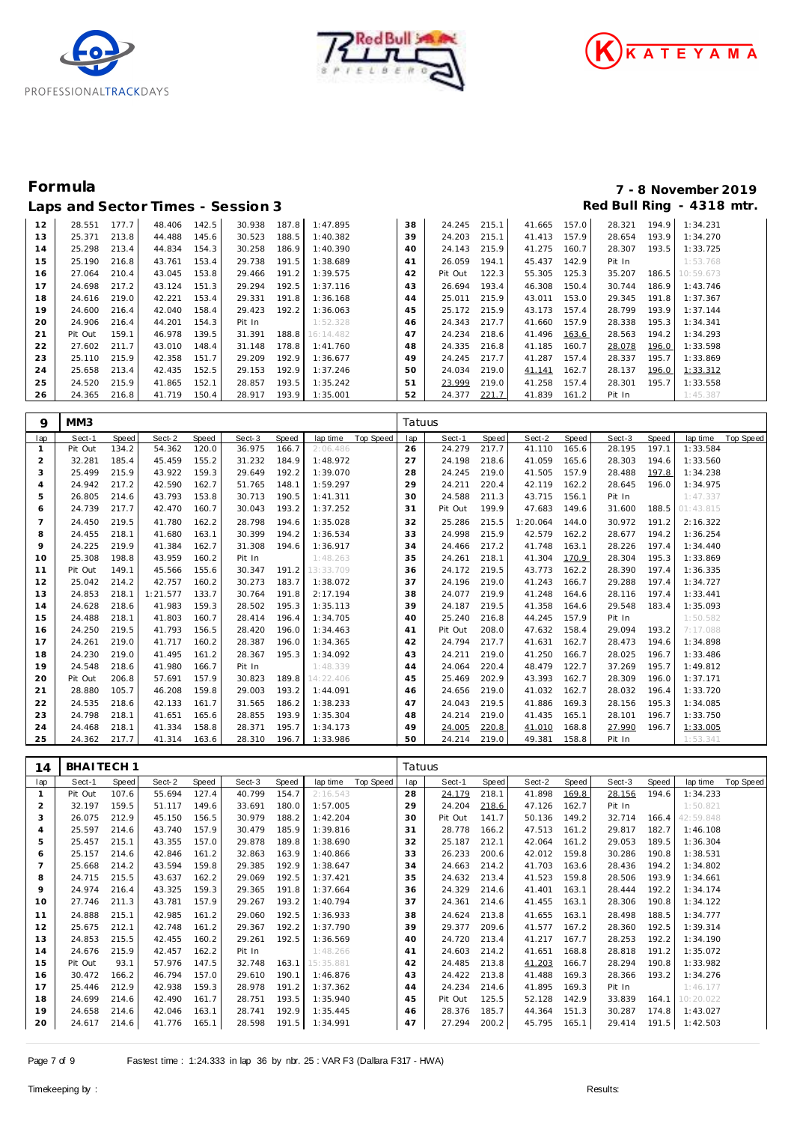





# **Formula 7 - 8 November 2019**

|    |         |       |        |       | Laps and Sector Times - Session 3 |       |           |                 |         |       |        |       |        |       | Red Bull Ring - 4318 mtr. |
|----|---------|-------|--------|-------|-----------------------------------|-------|-----------|-----------------|---------|-------|--------|-------|--------|-------|---------------------------|
| 12 | 28.551  | 177.7 | 48.406 | 142.5 | 30.938                            | 187.8 | 1:47.895  | 38              | 24.245  | 215.1 | 41.665 | 157.0 | 28.321 | 194.9 | 1:34.231                  |
| 13 | 25.371  | 213.8 | 44.488 | 145.6 | 30.523                            | 188.5 | 1:40.382  | 39              | 24.203  | 215.1 | 41.413 | 157.9 | 28.654 | 193.9 | 1:34.270                  |
| 14 | 25.298  | 213.4 | 44.834 | 154.3 | 30.258                            | 186.9 | 1:40.390  | 40 <sup>2</sup> | 24.143  | 215.9 | 41.275 | 160.7 | 28.307 | 193.5 | 1:33.725                  |
| 15 | 25.190  | 216.8 | 43.761 | 153.4 | 29.738                            | 191.5 | 1:38.689  | 41              | 26.059  | 194.1 | 45.437 | 142.9 | Pit In |       | 1:53.768                  |
| 16 | 27.064  | 210.4 | 43.045 | 153.8 | 29.466                            | 191.2 | 1:39.575  | 42              | Pit Out | 122.3 | 55.305 | 125.3 | 35.207 | 186.5 | 10:59.673                 |
| 17 | 24.698  | 217.2 | 43.124 | 151.3 | 29.294                            | 192.5 | 1:37.116  | 43              | 26.694  | 193.4 | 46.308 | 150.4 | 30.744 | 186.9 | 1:43.746                  |
| 18 | 24.616  | 219.0 | 42.221 | 153.4 | 29.331                            | 191.8 | 1:36.168  | 44              | 25.011  | 215.9 | 43.011 | 153.0 | 29.345 | 191.8 | 1:37.367                  |
| 19 | 24.600  | 216.4 | 42.040 | 158.4 | 29.423                            | 192.2 | 1:36.063  | 45              | 25.172  | 215.9 | 43.173 | 157.4 | 28.799 | 193.9 | 1:37.144                  |
| 20 | 24.906  | 216.4 | 44.201 | 154.3 | Pit In                            |       | 1:52.328  | 46              | 24.343  | 217.7 | 41.660 | 157.9 | 28.338 | 195.3 | 1:34.341                  |
| 21 | Pit Out | 159.1 | 46.978 | 139.5 | 31.391                            | 188.8 | 16:14.482 | 47              | 24.234  | 218.6 | 41.496 | 163.6 | 28.563 | 194.2 | 1:34.293                  |
| 22 | 27.602  | 211.7 | 43.010 | 148.4 | 31.148                            | 178.8 | 1:41.760  | 48              | 24.335  | 216.8 | 41.185 | 160.7 | 28.078 | 196.0 | 1:33.598                  |
| 23 | 25.110  | 215.9 | 42.358 | 151.7 | 29.209                            | 192.9 | 1:36.677  | 49              | 24.245  | 217.7 | 41.287 | 157.4 | 28.337 | 195.7 | 1:33.869                  |
| 24 | 25.658  | 213.4 | 42.435 | 152.5 | 29.153                            | 192.9 | 1:37.246  | 50              | 24.034  | 219.0 | 41.141 | 162.7 | 28.137 | 196.0 | 1:33.312                  |
| 25 | 24.520  | 215.9 | 41.865 | 152.1 | 28.857                            | 193.5 | 1:35.242  | 51              | 23.999  | 219.0 | 41.258 | 157.4 | 28.301 | 195.7 | 1:33.558                  |
| 26 | 24.365  | 216.8 | 41.719 | 150.4 | 28.917                            | 193.9 | 1:35.001  | 52              | 24.377  | 221.7 | 41.839 | 161.2 | Pit In |       | 1:45.387                  |

| 9              | MM3     |       |          |       |        |       |           |           | Tatuus |         |       |          |       |        |       |           |                  |
|----------------|---------|-------|----------|-------|--------|-------|-----------|-----------|--------|---------|-------|----------|-------|--------|-------|-----------|------------------|
| lap            | Sect-1  | Speed | Sect-2   | Speed | Sect-3 | Speed | lap time  | Top Speed | lap    | Sect-1  | Speed | Sect-2   | Speed | Sect-3 | Speed | lap time  | <b>Top Speed</b> |
|                | Pit Out | 134.2 | 54.362   | 120.0 | 36.975 | 166.7 | 2:06.486  |           | 26     | 24.279  | 217.7 | 41.110   | 165.6 | 28.195 | 197.1 | 1:33.584  |                  |
| $\overline{2}$ | 32.281  | 185.4 | 45.459   | 155.2 | 31.232 | 184.9 | 1:48.972  |           | 27     | 24.198  | 218.6 | 41.059   | 165.6 | 28.303 | 194.6 | 1:33.560  |                  |
| 3              | 25.499  | 215.9 | 43.922   | 159.3 | 29.649 | 192.2 | 1:39.070  |           | 28     | 24.245  | 219.0 | 41.505   | 157.9 | 28.488 | 197.8 | 1:34.238  |                  |
| $\overline{A}$ | 24.942  | 217.2 | 42.590   | 162.7 | 51.765 | 148.1 | 1:59.297  |           | 29     | 24.211  | 220.4 | 42.119   | 162.2 | 28.645 | 196.0 | 1:34.975  |                  |
| 5              | 26.805  | 214.6 | 43.793   | 153.8 | 30.713 | 190.5 | 1:41.311  |           | 30     | 24.588  | 211.3 | 43.715   | 156.1 | Pit In |       | 1:47.337  |                  |
| 6              | 24.739  | 217.7 | 42.470   | 160.7 | 30.043 | 193.2 | 1:37.252  |           | 31     | Pit Out | 199.9 | 47.683   | 149.6 | 31.600 | 188.5 | 01:43.815 |                  |
| 7              | 24.450  | 219.5 | 41.780   | 162.2 | 28.798 | 194.6 | 1:35.028  |           | 32     | 25.286  | 215.5 | 1:20.064 | 144.0 | 30.972 | 191.2 | 2:16.322  |                  |
| 8              | 24.455  | 218.1 | 41.680   | 163.1 | 30.399 | 194.2 | 1:36.534  |           | 33     | 24.998  | 215.9 | 42.579   | 162.2 | 28.677 | 194.2 | 1:36.254  |                  |
| 9              | 24.225  | 219.9 | 41.384   | 162.7 | 31.308 | 194.6 | 1:36.917  |           | 34     | 24.466  | 217.2 | 41.748   | 163.1 | 28.226 | 197.4 | 1:34.440  |                  |
| 10             | 25.308  | 198.8 | 43.959   | 160.2 | Pit In |       | 1:48.263  |           | 35     | 24.261  | 218.1 | 41.304   | 170.9 | 28.304 | 195.3 | 1:33.869  |                  |
| 11             | Pit Out | 149.1 | 45.566   | 155.6 | 30.347 | 191.2 | 13:33.709 |           | 36     | 24.172  | 219.5 | 43.773   | 162.2 | 28.390 | 197.4 | 1:36.335  |                  |
| 12             | 25.042  | 214.2 | 42.757   | 160.2 | 30.273 | 183.7 | 1:38.072  |           | 37     | 24.196  | 219.0 | 41.243   | 166.7 | 29.288 | 197.4 | 1:34.727  |                  |
| 13             | 24.853  | 218.1 | 1:21.577 | 133.7 | 30.764 | 191.8 | 2:17.194  |           | 38     | 24.077  | 219.9 | 41.248   | 164.6 | 28.116 | 197.4 | 1:33.441  |                  |
| 14             | 24.628  | 218.6 | 41.983   | 159.3 | 28.502 | 195.3 | 1:35.113  |           | 39     | 24.187  | 219.5 | 41.358   | 164.6 | 29.548 | 183.4 | 1:35.093  |                  |
| 15             | 24.488  | 218.1 | 41.803   | 160.7 | 28.414 | 196.4 | 1:34.705  |           | 40     | 25.240  | 216.8 | 44.245   | 157.9 | Pit In |       | 1:50.582  |                  |
| 16             | 24.250  | 219.5 | 41.793   | 156.5 | 28.420 | 196.0 | 1:34.463  |           | 41     | Pit Out | 208.0 | 47.632   | 158.4 | 29.094 | 193.2 | 7:17.088  |                  |
| 17             | 24.261  | 219.0 | 41.717   | 160.2 | 28.387 | 196.0 | 1:34.365  |           | 42     | 24.794  | 217.7 | 41.631   | 162.7 | 28.473 | 194.6 | 1:34.898  |                  |
| 18             | 24.230  | 219.0 | 41.495   | 161.2 | 28.367 | 195.3 | 1:34.092  |           | 43     | 24.211  | 219.0 | 41.250   | 166.7 | 28.025 | 196.7 | 1:33.486  |                  |
| 19             | 24.548  | 218.6 | 41.980   | 166.7 | Pit In |       | 1:48.339  |           | 44     | 24.064  | 220.4 | 48.479   | 122.7 | 37.269 | 195.7 | 1:49.812  |                  |
| 20             | Pit Out | 206.8 | 57.691   | 157.9 | 30.823 | 189.8 | 14:22.406 |           | 45     | 25.469  | 202.9 | 43.393   | 162.7 | 28.309 | 196.0 | 1:37.171  |                  |
| 21             | 28.880  | 105.7 | 46.208   | 159.8 | 29.003 | 193.2 | 1:44.091  |           | 46     | 24.656  | 219.0 | 41.032   | 162.7 | 28.032 | 196.4 | 1:33.720  |                  |
| 22             | 24.535  | 218.6 | 42.133   | 161.7 | 31.565 | 186.2 | 1:38.233  |           | 47     | 24.043  | 219.5 | 41.886   | 169.3 | 28.156 | 195.3 | 1:34.085  |                  |
| 23             | 24.798  | 218.1 | 41.651   | 165.6 | 28.855 | 193.9 | 1:35.304  |           | 48     | 24.214  | 219.0 | 41.435   | 165.1 | 28.101 | 196.7 | 1:33.750  |                  |
| 24             | 24.468  | 218.1 | 41.334   | 158.8 | 28.371 | 195.7 | 1:34.173  |           | 49     | 24.005  | 220.8 | 41.010   | 168.8 | 27.990 | 196.7 | 1:33.005  |                  |
| 25             | 24.362  | 217.7 | 41.314   | 163.6 | 28.310 | 196.7 | 1:33.986  |           | 50     | 24.214  | 219.0 | 49.381   | 158.8 | Pit In |       | 1:53.341  |                  |

| 14             | BHAITECH <sub>1</sub> |       |        |       |        |       |                 |           | Tatuus |         |       |        |       |        |       |           |           |
|----------------|-----------------------|-------|--------|-------|--------|-------|-----------------|-----------|--------|---------|-------|--------|-------|--------|-------|-----------|-----------|
| lap            | Sect-1                | Speed | Sect-2 | Speed | Sect-3 | Speed | lap time        | Top Speed | lap    | Sect-1  | Speed | Sect-2 | Speed | Sect-3 | Speed | lap time  | Top Speed |
|                | Pit Out               | 107.6 | 55.694 | 127.4 | 40.799 | 154.7 | 2:16.543        |           | 28     | 24.179  | 218.1 | 41.898 | 169.8 | 28.156 | 194.6 | 1:34.233  |           |
| 2              | 32.197                | 159.5 | 51.117 | 149.6 | 33.691 | 180.0 | 1:57.005        |           | 29     | 24.204  | 218.6 | 47.126 | 162.7 | Pit In |       | 1:50.821  |           |
| 3              | 26.075                | 212.9 | 45.150 | 156.5 | 30.979 | 188.2 | 1:42.204        |           | 30     | Pit Out | 141.7 | 50.136 | 149.2 | 32.714 | 166.4 | 42:59.848 |           |
| $\overline{4}$ | 25.597                | 214.6 | 43.740 | 157.9 | 30.479 | 185.9 | 1:39.816        |           | 31     | 28.778  | 166.2 | 47.513 | 161.2 | 29.817 | 182.7 | 1:46.108  |           |
| 5              | 25.457                | 215.1 | 43.355 | 157.0 | 29.878 | 189.8 | 1:38.690        |           | 32     | 25.187  | 212.1 | 42.064 | 161.2 | 29.053 | 189.5 | 1:36.304  |           |
| 6              | 25.157                | 214.6 | 42.846 | 161.2 | 32.863 | 163.9 | 1:40.866        |           | 33     | 26.233  | 200.6 | 42.012 | 159.8 | 30.286 | 190.8 | 1:38.531  |           |
|                | 25.668                | 214.2 | 43.594 | 159.8 | 29.385 | 192.9 | 1:38.647        |           | 34     | 24.663  | 214.2 | 41.703 | 163.6 | 28.436 | 194.2 | 1:34.802  |           |
| 8              | 24.715                | 215.5 | 43.637 | 162.2 | 29.069 | 192.5 | 1:37.421        |           | 35     | 24.632  | 213.4 | 41.523 | 159.8 | 28.506 | 193.9 | 1:34.661  |           |
| 9              | 24.974                | 216.4 | 43.325 | 159.3 | 29.365 | 191.8 | 1:37.664        |           | 36     | 24.329  | 214.6 | 41.401 | 163.1 | 28.444 | 192.2 | 1:34.174  |           |
| 10             | 27.746                | 211.3 | 43.781 | 157.9 | 29.267 | 193.2 | 1:40.794        |           | 37     | 24.361  | 214.6 | 41.455 | 163.1 | 28.306 | 190.8 | 1:34.122  |           |
| 11             | 24.888                | 215.1 | 42.985 | 161.2 | 29.060 | 192.5 | 1:36.933        |           | 38     | 24.624  | 213.8 | 41.655 | 163.1 | 28.498 | 188.5 | 1:34.777  |           |
| 12             | 25.675                | 212.1 | 42.748 | 161.2 | 29.367 | 192.2 | 1:37.790        |           | 39     | 29.377  | 209.6 | 41.577 | 167.2 | 28.360 | 192.5 | 1:39.314  |           |
| 13             | 24.853                | 215.5 | 42.455 | 160.2 | 29.261 | 192.5 | 1:36.569        |           | 40     | 24.720  | 213.4 | 41.217 | 167.7 | 28.253 | 192.2 | 1:34.190  |           |
| 14             | 24.676                | 215.9 | 42.457 | 162.2 | Pit In |       | 1:48.266        |           | 41     | 24.603  | 214.2 | 41.651 | 168.8 | 28.818 | 191.2 | 1:35.072  |           |
| 15             | Pit Out               | 93.1  | 57.976 | 147.5 | 32.748 |       | 163.1 15:35.881 |           | 42     | 24.485  | 213.8 | 41.203 | 166.7 | 28.294 | 190.8 | 1:33.982  |           |
| 16             | 30.472                | 166.2 | 46.794 | 157.0 | 29.610 | 190.1 | 1:46.876        |           | 43     | 24.422  | 213.8 | 41.488 | 169.3 | 28.366 | 193.2 | 1:34.276  |           |
| 17             | 25.446                | 212.9 | 42.938 | 159.3 | 28.978 | 191.2 | 1:37.362        |           | 44     | 24.234  | 214.6 | 41.895 | 169.3 | Pit In |       | 1:46.177  |           |
| 18             | 24.699                | 214.6 | 42.490 | 161.7 | 28.751 | 193.5 | 1:35.940        |           | 45     | Pit Out | 125.5 | 52.128 | 142.9 | 33.839 | 164.1 | 10:20.022 |           |
| 19             | 24.658                | 214.6 | 42.046 | 163.1 | 28.741 | 192.9 | 1:35.445        |           | 46     | 28.376  | 185.7 | 44.364 | 151.3 | 30.287 | 174.8 | 1:43.027  |           |
| 20             | 24.617                | 214.6 | 41.776 | 165.1 | 28.598 | 191.5 | 1:34.991        |           | 47     | 27.294  | 200.2 | 45.795 | 165.1 | 29.414 | 191.5 | 1:42.503  |           |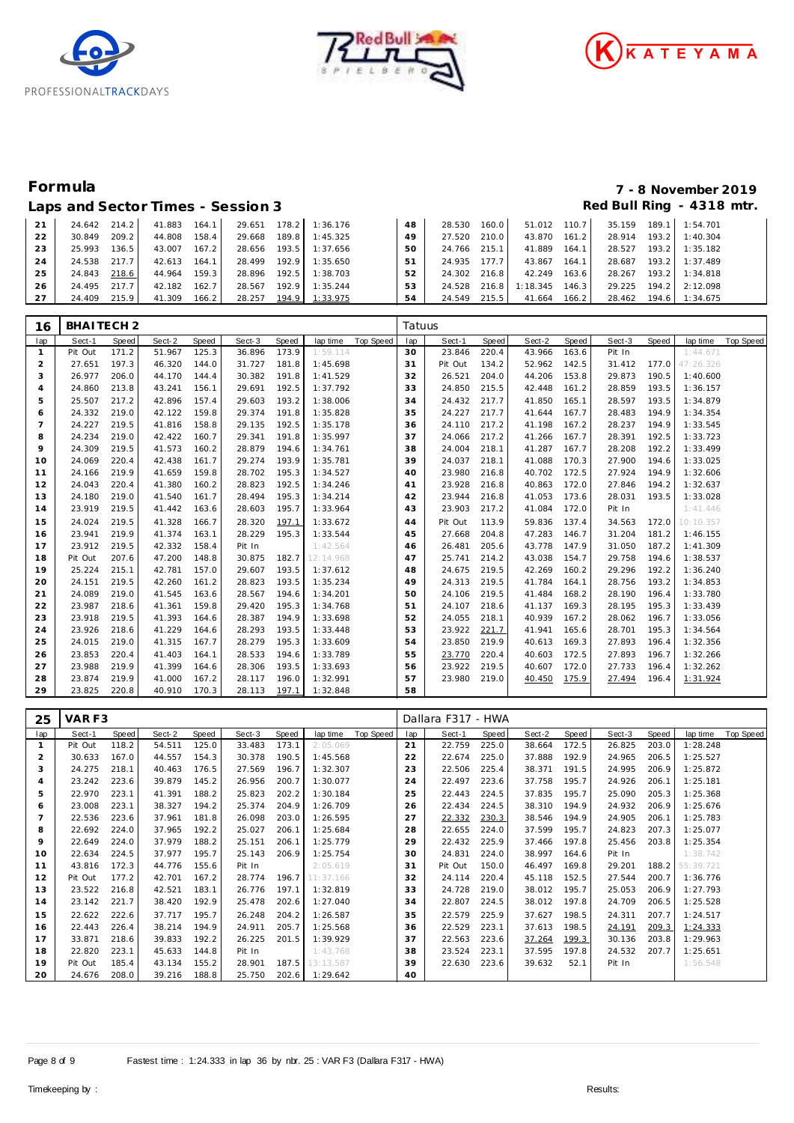





### Laps and Sector Times - Session 3 **Red Bull Ring - 4318 mtr.** And Sector Times - Session 3

# **Formula 7 - 8 November 2019**

| 21 | 24.642 | 214.2              | 41.883 | 164.1 | 29.651 | 178.2 | 1:36.176 | 48 | 28.530 | 160.0 | 51.012 110.7 |       | 35.159 | 189.1 | 1:54.701 |
|----|--------|--------------------|--------|-------|--------|-------|----------|----|--------|-------|--------------|-------|--------|-------|----------|
| 22 | 30.849 | 209.2              | 44.808 | 158.4 | 29.668 | 189.8 | 1:45.325 | 49 | 27.520 | 210.0 | 43.870       | 161.2 | 28.914 | 193.2 | 1:40.304 |
| 23 | 25.993 | 136.5 <sub>1</sub> | 43.007 | 167.2 | 28.656 | 193.5 | 1:37.656 | 50 | 24.766 | 215.1 | 41.889       | 164.1 | 28.527 | 193.2 | 1:35.182 |
| 24 | 24.538 | 217.7              | 42.613 | 164.1 | 28.499 | 192.9 | 1:35.650 | 51 | 24.935 | 177.7 | 43.867       | 164.1 | 28.687 | 193.2 | 1:37.489 |
| 25 | 24.843 | 218.6              | 44.964 | 159.3 | 28.896 | 192.5 | 1:38.703 | 52 | 24.302 | 216.8 | 42.249       | 163.6 | 28.267 | 193.2 | 1:34.818 |
| 26 | 24.495 | 217.7              | 42.182 | 162.7 | 28.567 | 192.9 | 1:35.244 |    | 24.528 | 216.8 | 1:18.345     | 146.3 | 29.225 | 194.2 | 2:12.098 |
| 27 | 24.409 | 215.9              | 41.309 | 166.2 | 28.257 | 194.9 | 1:33.975 | 54 | 24.549 | 215.5 | 41.664       | 166.2 | 28.462 | 194.6 | 1:34.675 |

| 16             | BHAITECH <sub>2</sub> |       |        |       |        |       |           |           | Tatuus |         |       |        |       |        |       |           |           |
|----------------|-----------------------|-------|--------|-------|--------|-------|-----------|-----------|--------|---------|-------|--------|-------|--------|-------|-----------|-----------|
| lap            | Sect-1                | Speed | Sect-2 | Speed | Sect-3 | Speed | lap time  | Top Speed | lap    | Sect-1  | Speed | Sect-2 | Speed | Sect-3 | Speed | lap time  | Top Speed |
| $\mathbf{1}$   | Pit Out               | 171.2 | 51.967 | 125.3 | 36.896 | 173.9 | 1:59.114  |           | 30     | 23.846  | 220.4 | 43.966 | 163.6 | Pit In |       | 1:44.671  |           |
| 2              | 27.651                | 197.3 | 46.320 | 144.0 | 31.727 | 181.8 | 1:45.698  |           | 31     | Pit Out | 134.2 | 52.962 | 142.5 | 31.412 | 177.0 | 47:26.326 |           |
| 3              | 26.977                | 206.0 | 44.170 | 144.4 | 30.382 | 191.8 | 1:41.529  |           | 32     | 26.521  | 204.0 | 44.206 | 153.8 | 29.873 | 190.5 | 1:40.600  |           |
| $\overline{4}$ | 24.860                | 213.8 | 43.241 | 156.1 | 29.691 | 192.5 | 1:37.792  |           | 33     | 24.850  | 215.5 | 42.448 | 161.2 | 28.859 | 193.5 | 1:36.157  |           |
| 5              | 25.507                | 217.2 | 42.896 | 157.4 | 29.603 | 193.2 | 1:38.006  |           | 34     | 24.432  | 217.7 | 41.850 | 165.1 | 28.597 | 193.5 | 1:34.879  |           |
| 6              | 24.332                | 219.0 | 42.122 | 159.8 | 29.374 | 191.8 | 1:35.828  |           | 35     | 24.227  | 217.7 | 41.644 | 167.7 | 28.483 | 194.9 | 1:34.354  |           |
| $\overline{7}$ | 24.227                | 219.5 | 41.816 | 158.8 | 29.135 | 192.5 | 1:35.178  |           | 36     | 24.110  | 217.2 | 41.198 | 167.2 | 28.237 | 194.9 | 1:33.545  |           |
| 8              | 24.234                | 219.0 | 42.422 | 160.7 | 29.341 | 191.8 | 1:35.997  |           | 37     | 24.066  | 217.2 | 41.266 | 167.7 | 28.391 | 192.5 | 1:33.723  |           |
| 9              | 24.309                | 219.5 | 41.573 | 160.2 | 28.879 | 194.6 | 1:34.761  |           | 38     | 24.004  | 218.1 | 41.287 | 167.7 | 28.208 | 192.2 | 1:33.499  |           |
| 10             | 24.069                | 220.4 | 42.438 | 161.7 | 29.274 | 193.9 | 1:35.781  |           | 39     | 24.037  | 218.1 | 41.088 | 170.3 | 27.900 | 194.6 | 1:33.025  |           |
| 11             | 24.166                | 219.9 | 41.659 | 159.8 | 28.702 | 195.3 | 1:34.527  |           | 40     | 23.980  | 216.8 | 40.702 | 172.5 | 27.924 | 194.9 | 1:32.606  |           |
| 12             | 24.043                | 220.4 | 41.380 | 160.2 | 28.823 | 192.5 | 1:34.246  |           | 41     | 23.928  | 216.8 | 40.863 | 172.0 | 27.846 | 194.2 | 1:32.637  |           |
| 13             | 24.180                | 219.0 | 41.540 | 161.7 | 28.494 | 195.3 | 1:34.214  |           | 42     | 23.944  | 216.8 | 41.053 | 173.6 | 28.031 | 193.5 | 1:33.028  |           |
| 14             | 23.919                | 219.5 | 41.442 | 163.6 | 28.603 | 195.7 | 1:33.964  |           | 43     | 23.903  | 217.2 | 41.084 | 172.0 | Pit In |       | 1:41.446  |           |
| 15             | 24.024                | 219.5 | 41.328 | 166.7 | 28.320 | 197.1 | 1:33.672  |           | 44     | Pit Out | 113.9 | 59.836 | 137.4 | 34.563 | 172.0 | 10:10.357 |           |
| 16             | 23.941                | 219.9 | 41.374 | 163.1 | 28.229 | 195.3 | 1:33.544  |           | 45     | 27.668  | 204.8 | 47.283 | 146.7 | 31.204 | 181.2 | 1:46.155  |           |
| 17             | 23.912                | 219.5 | 42.332 | 158.4 | Pit In |       | 1:42.564  |           | 46     | 26.481  | 205.6 | 43.778 | 147.9 | 31.050 | 187.2 | 1:41.309  |           |
| 18             | Pit Out               | 207.6 | 47.200 | 148.8 | 30.875 | 182.7 | 12:14.968 |           | 47     | 25.741  | 214.2 | 43.038 | 154.7 | 29.758 | 194.6 | 1:38.537  |           |
| 19             | 25.224                | 215.1 | 42.781 | 157.0 | 29.607 | 193.5 | 1:37.612  |           | 48     | 24.675  | 219.5 | 42.269 | 160.2 | 29.296 | 192.2 | 1:36.240  |           |
| 20             | 24.151                | 219.5 | 42.260 | 161.2 | 28.823 | 193.5 | 1:35.234  |           | 49     | 24.313  | 219.5 | 41.784 | 164.1 | 28.756 | 193.2 | 1:34.853  |           |
| 21             | 24.089                | 219.0 | 41.545 | 163.6 | 28.567 | 194.6 | 1:34.201  |           | 50     | 24.106  | 219.5 | 41.484 | 168.2 | 28.190 | 196.4 | 1:33.780  |           |
| 22             | 23.987                | 218.6 | 41.361 | 159.8 | 29.420 | 195.3 | 1:34.768  |           | 51     | 24.107  | 218.6 | 41.137 | 169.3 | 28.195 | 195.3 | 1:33.439  |           |
| 23             | 23.918                | 219.5 | 41.393 | 164.6 | 28.387 | 194.9 | 1:33.698  |           | 52     | 24.055  | 218.1 | 40.939 | 167.2 | 28.062 | 196.7 | 1:33.056  |           |
| 24             | 23.926                | 218.6 | 41.229 | 164.6 | 28.293 | 193.5 | 1:33.448  |           | 53     | 23.922  | 221.7 | 41.941 | 165.6 | 28.701 | 195.3 | 1:34.564  |           |
| 25             | 24.015                | 219.0 | 41.315 | 167.7 | 28.279 | 195.3 | 1:33.609  |           | 54     | 23.850  | 219.9 | 40.613 | 169.3 | 27.893 | 196.4 | 1:32.356  |           |
| 26             | 23.853                | 220.4 | 41.403 | 164.1 | 28.533 | 194.6 | 1:33.789  |           | 55     | 23.770  | 220.4 | 40.603 | 172.5 | 27.893 | 196.7 | 1:32.266  |           |
| 27             | 23.988                | 219.9 | 41.399 | 164.6 | 28.306 | 193.5 | 1:33.693  |           | 56     | 23.922  | 219.5 | 40.607 | 172.0 | 27.733 | 196.4 | 1:32.262  |           |
| 28             | 23.874                | 219.9 | 41.000 | 167.2 | 28.117 | 196.0 | 1:32.991  |           | 57     | 23.980  | 219.0 | 40.450 | 175.9 | 27.494 | 196.4 | 1:31.924  |           |
| 29             | 23.825                | 220.8 | 40.910 | 170.3 | 28.113 | 197.1 | 1:32.848  |           | 58     |         |       |        |       |        |       |           |           |

| 25             | VARF3   |       |        |       |        |       |           |           | Dallara F317 - HWA |         |       |        |       |        |       |           |           |
|----------------|---------|-------|--------|-------|--------|-------|-----------|-----------|--------------------|---------|-------|--------|-------|--------|-------|-----------|-----------|
| lap            | Sect-1  | Speed | Sect-2 | Speed | Sect-3 | Speed | lap time  | Top Speed | lap                | Sect-1  | Speed | Sect-2 | Speed | Sect-3 | Speed | lap time  | Top Speed |
|                | Pit Out | 118.2 | 54.511 | 125.0 | 33.483 | 173.1 | 2:05.069  |           | 21                 | 22.759  | 225.0 | 38.664 | 172.5 | 26.825 | 203.0 | 1:28.248  |           |
| $\overline{c}$ | 30.633  | 167.0 | 44.557 | 154.3 | 30.378 | 190.5 | 1:45.568  |           | 22                 | 22.674  | 225.0 | 37.888 | 192.9 | 24.965 | 206.5 | 1:25.527  |           |
| 3              | 24.275  | 218.1 | 40.463 | 176.5 | 27.569 | 196.7 | 1:32.307  |           | 23                 | 22.506  | 225.4 | 38.371 | 191.5 | 24.995 | 206.9 | 1:25.872  |           |
| 4              | 23.242  | 223.6 | 39.879 | 145.2 | 26.956 | 200.7 | 1:30.077  |           | 24                 | 22.497  | 223.6 | 37.758 | 195.7 | 24.926 | 206.1 | 1:25.181  |           |
| 5              | 22.970  | 223.1 | 41.391 | 188.2 | 25.823 | 202.2 | 1:30.184  |           | 25                 | 22.443  | 224.5 | 37.835 | 195.7 | 25.090 | 205.3 | 1:25.368  |           |
| 6              | 23.008  | 223.1 | 38.327 | 194.2 | 25.374 | 204.9 | 1:26.709  |           | 26                 | 22.434  | 224.5 | 38.310 | 194.9 | 24.932 | 206.9 | 1:25.676  |           |
|                | 22.536  | 223.6 | 37.961 | 181.8 | 26.098 | 203.0 | 1:26.595  |           | 27                 | 22.332  | 230.3 | 38.546 | 194.9 | 24.905 | 206.1 | 1:25.783  |           |
| 8              | 22.692  | 224.0 | 37.965 | 192.2 | 25.027 | 206.1 | 1:25.684  |           | 28                 | 22.655  | 224.0 | 37.599 | 195.7 | 24.823 | 207.3 | 1:25.077  |           |
| 9              | 22.649  | 224.0 | 37.979 | 188.2 | 25.151 | 206.1 | 1:25.779  |           | 29                 | 22.432  | 225.9 | 37.466 | 197.8 | 25.456 | 203.8 | 1:25.354  |           |
| 10             | 22.634  | 224.5 | 37.977 | 195.7 | 25.143 | 206.9 | 1:25.754  |           | 30                 | 24.831  | 224.0 | 38.997 | 164.6 | Pit In |       | 1:38.742  |           |
| 11             | 43.816  | 172.3 | 44.776 | 155.6 | Pit In |       | 2:05.619  |           | 31                 | Pit Out | 150.0 | 46.497 | 169.8 | 29.201 | 188.2 | 55:39.721 |           |
| 12             | Pit Out | 177.2 | 42.701 | 167.2 | 28.774 | 196.7 | 11:37.166 |           | 32                 | 24.114  | 220.4 | 45.118 | 152.5 | 27.544 | 200.7 | 1:36.776  |           |
| 13             | 23.522  | 216.8 | 42.521 | 183.1 | 26.776 | 197.1 | 1:32.819  |           | 33                 | 24.728  | 219.0 | 38.012 | 195.7 | 25.053 | 206.9 | 1:27.793  |           |
| 14             | 23.142  | 221.7 | 38.420 | 192.9 | 25.478 | 202.6 | 1:27.040  |           | 34                 | 22.807  | 224.5 | 38.012 | 197.8 | 24.709 | 206.5 | 1:25.528  |           |
| 15             | 22.622  | 222.6 | 37.717 | 195.7 | 26.248 | 204.2 | 1:26.587  |           | 35                 | 22.579  | 225.9 | 37.627 | 198.5 | 24.311 | 207.7 | 1:24.517  |           |
| 16             | 22.443  | 226.4 | 38.214 | 194.9 | 24.911 | 205.7 | 1:25.568  |           | 36                 | 22.529  | 223.1 | 37.613 | 198.5 | 24.191 | 209.3 | 1:24.333  |           |
| 17             | 33.871  | 218.6 | 39.833 | 192.2 | 26.225 | 201.5 | 1:39.929  |           | 37                 | 22.563  | 223.6 | 37.264 | 199.3 | 30.136 | 203.8 | 1:29.963  |           |
| 18             | 22.820  | 223.1 | 45.633 | 144.8 | Pit In |       | 1:43.768  |           | 38                 | 23.524  | 223.1 | 37.595 | 197.8 | 24.532 | 207.7 | 1:25.651  |           |
| 19             | Pit Out | 185.4 | 43.134 | 155.2 | 28.901 | 187.5 | 13:13.587 |           | 39                 | 22.630  | 223.6 | 39.632 | 52.1  | Pit In |       | 1:56.548  |           |
| 20             | 24.676  | 208.0 | 39.216 | 188.8 | 25.750 | 202.6 | 1:29.642  |           | 40                 |         |       |        |       |        |       |           |           |